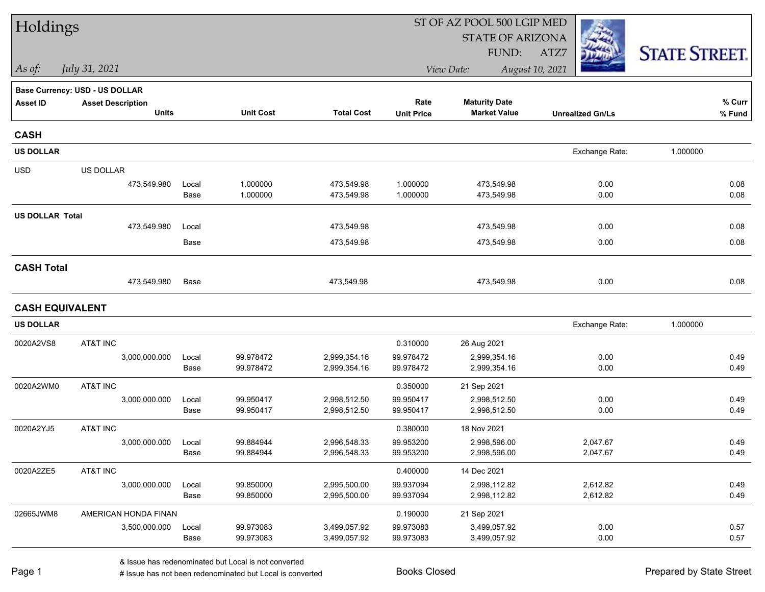| Holdings               |                                |               |                        |                              |                        | ST OF AZ POOL 500 LGIP MED   |                         |                      |
|------------------------|--------------------------------|---------------|------------------------|------------------------------|------------------------|------------------------------|-------------------------|----------------------|
|                        |                                |               |                        |                              |                        | <b>STATE OF ARIZONA</b>      |                         |                      |
|                        |                                |               |                        |                              |                        | FUND:                        | ATZ7                    | <b>STATE STREET.</b> |
| As of:                 | July 31, 2021                  |               |                        |                              |                        | View Date:                   | August 10, 2021         |                      |
|                        | Base Currency: USD - US DOLLAR |               |                        |                              |                        |                              |                         |                      |
| <b>Asset ID</b>        | <b>Asset Description</b>       |               |                        |                              | Rate                   | <b>Maturity Date</b>         |                         | % Curr               |
|                        | <b>Units</b>                   |               | <b>Unit Cost</b>       | <b>Total Cost</b>            | <b>Unit Price</b>      | <b>Market Value</b>          | <b>Unrealized Gn/Ls</b> | % Fund               |
| <b>CASH</b>            |                                |               |                        |                              |                        |                              |                         |                      |
| <b>US DOLLAR</b>       |                                |               |                        |                              |                        |                              | Exchange Rate:          | 1.000000             |
| <b>USD</b>             | US DOLLAR                      |               |                        |                              |                        |                              |                         |                      |
|                        | 473,549.980                    | Local         | 1.000000               | 473,549.98                   | 1.000000               | 473,549.98                   | 0.00                    | 0.08                 |
|                        |                                | Base          | 1.000000               | 473,549.98                   | 1.000000               | 473,549.98                   | 0.00                    | 0.08                 |
| <b>US DOLLAR Total</b> |                                |               |                        |                              |                        |                              |                         |                      |
|                        | 473,549.980                    | Local         |                        | 473,549.98                   |                        | 473,549.98                   | 0.00                    | 0.08                 |
|                        |                                | Base          |                        | 473,549.98                   |                        | 473,549.98                   | 0.00                    | 0.08                 |
| <b>CASH Total</b>      |                                |               |                        |                              |                        |                              |                         |                      |
|                        | 473,549.980                    | Base          |                        | 473,549.98                   |                        | 473,549.98                   | 0.00                    | 0.08                 |
|                        | <b>CASH EQUIVALENT</b>         |               |                        |                              |                        |                              |                         |                      |
| <b>US DOLLAR</b>       |                                |               |                        |                              |                        |                              | Exchange Rate:          | 1.000000             |
| 0020A2VS8              | AT&T INC                       |               |                        |                              | 0.310000               | 26 Aug 2021                  |                         |                      |
|                        | 3,000,000.000                  | Local         | 99.978472              | 2,999,354.16                 | 99.978472              | 2,999,354.16                 | 0.00                    | 0.49                 |
|                        |                                | Base          | 99.978472              | 2,999,354.16                 | 99.978472              | 2,999,354.16                 | 0.00                    | 0.49                 |
| 0020A2WM0              | AT&T INC                       |               |                        |                              | 0.350000               | 21 Sep 2021                  |                         |                      |
|                        | 3,000,000.000                  | Local         | 99.950417              | 2,998,512.50                 | 99.950417              | 2,998,512.50                 | 0.00                    | 0.49                 |
|                        |                                | Base          | 99.950417              | 2,998,512.50                 | 99.950417              | 2,998,512.50                 | 0.00                    | 0.49                 |
| 0020A2YJ5              | AT&T INC                       |               |                        |                              | 0.380000               | 18 Nov 2021                  |                         |                      |
|                        | 3,000,000.000                  | Local<br>Base | 99.884944<br>99.884944 | 2,996,548.33<br>2,996,548.33 | 99.953200<br>99.953200 | 2,998,596.00<br>2,998,596.00 | 2,047.67<br>2,047.67    | 0.49<br>0.49         |
|                        |                                |               |                        |                              |                        |                              |                         |                      |
| 0020A2ZE5              | AT&T INC<br>3,000,000.000      | Local         | 99.850000              | 2,995,500.00                 | 0.400000<br>99.937094  | 14 Dec 2021<br>2,998,112.82  |                         | 0.49                 |
|                        |                                | Base          | 99.850000              | 2,995,500.00                 | 99.937094              | 2,998,112.82                 | 2,612.82<br>2,612.82    | 0.49                 |
| 02665JWM8              | AMERICAN HONDA FINAN           |               |                        |                              | 0.190000               | 21 Sep 2021                  |                         |                      |
|                        | 3,500,000.000                  | Local         | 99.973083              | 3,499,057.92                 | 99.973083              | 3,499,057.92                 | 0.00                    | 0.57                 |
|                        |                                | Base          | 99.973083              | 3,499,057.92                 | 99.973083              | 3,499,057.92                 | 0.00                    | 0.57                 |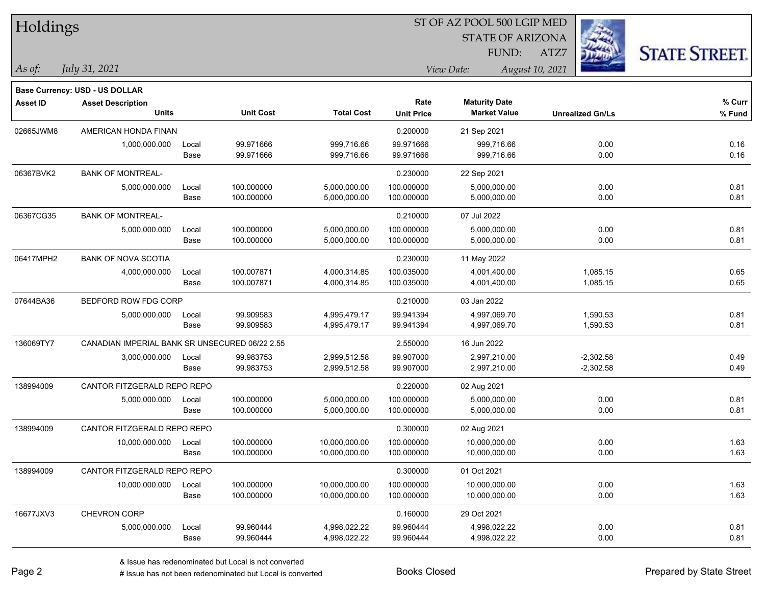| Holdings        |                                                |       |                  |                   |                   | ST OF AZ POOL 500 LGIP MED |                         |                      |
|-----------------|------------------------------------------------|-------|------------------|-------------------|-------------------|----------------------------|-------------------------|----------------------|
|                 |                                                |       |                  |                   |                   | <b>STATE OF ARIZONA</b>    |                         |                      |
|                 |                                                |       |                  |                   |                   | FUND:                      | ATZ7                    | <b>STATE STREET.</b> |
| As of:          | July 31, 2021                                  |       |                  |                   |                   | View Date:                 | August 10, 2021         |                      |
|                 | Base Currency: USD - US DOLLAR                 |       |                  |                   |                   |                            |                         |                      |
| <b>Asset ID</b> | <b>Asset Description</b>                       |       |                  |                   | Rate              | <b>Maturity Date</b>       |                         | % Curr               |
|                 | <b>Units</b>                                   |       | <b>Unit Cost</b> | <b>Total Cost</b> | <b>Unit Price</b> | <b>Market Value</b>        | <b>Unrealized Gn/Ls</b> | % Fund               |
| 02665JWM8       | AMERICAN HONDA FINAN                           |       |                  |                   | 0.200000          | 21 Sep 2021                |                         |                      |
|                 | 1,000,000.000                                  | Local | 99.971666        | 999,716.66        | 99.971666         | 999,716.66                 | 0.00                    | 0.16                 |
|                 |                                                | Base  | 99.971666        | 999,716.66        | 99.971666         | 999,716.66                 | 0.00                    | 0.16                 |
| 06367BVK2       | <b>BANK OF MONTREAL-</b>                       |       |                  |                   | 0.230000          | 22 Sep 2021                |                         |                      |
|                 | 5,000,000.000                                  | Local | 100.000000       | 5,000,000.00      | 100.000000        | 5,000,000.00               | 0.00                    | 0.81                 |
|                 |                                                | Base  | 100.000000       | 5,000,000.00      | 100.000000        | 5,000,000.00               | 0.00                    | 0.81                 |
| 06367CG35       | <b>BANK OF MONTREAL-</b>                       |       |                  |                   | 0.210000          | 07 Jul 2022                |                         |                      |
|                 | 5,000,000.000                                  | Local | 100.000000       | 5,000,000.00      | 100.000000        | 5,000,000.00               | 0.00                    | 0.81                 |
|                 |                                                | Base  | 100.000000       | 5,000,000.00      | 100.000000        | 5,000,000.00               | 0.00                    | 0.81                 |
| 06417MPH2       | <b>BANK OF NOVA SCOTIA</b>                     |       |                  |                   | 0.230000          | 11 May 2022                |                         |                      |
|                 | 4,000,000.000                                  | Local | 100.007871       | 4,000,314.85      | 100.035000        | 4,001,400.00               | 1,085.15                | 0.65                 |
|                 |                                                | Base  | 100.007871       | 4,000,314.85      | 100.035000        | 4,001,400.00               | 1,085.15                | 0.65                 |
| 07644BA36       | BEDFORD ROW FDG CORP                           |       |                  |                   | 0.210000          | 03 Jan 2022                |                         |                      |
|                 | 5,000,000.000                                  | Local | 99.909583        | 4,995,479.17      | 99.941394         | 4,997,069.70               | 1,590.53                | 0.81                 |
|                 |                                                | Base  | 99.909583        | 4,995,479.17      | 99.941394         | 4,997,069.70               | 1,590.53                | 0.81                 |
| 136069TY7       | CANADIAN IMPERIAL BANK SR UNSECURED 06/22 2.55 |       |                  |                   | 2.550000          | 16 Jun 2022                |                         |                      |
|                 | 3,000,000.000                                  | Local | 99.983753        | 2,999,512.58      | 99.907000         | 2,997,210.00               | $-2,302.58$             | 0.49                 |
|                 |                                                | Base  | 99.983753        | 2,999,512.58      | 99.907000         | 2,997,210.00               | $-2,302.58$             | 0.49                 |
| 138994009       | CANTOR FITZGERALD REPO REPO                    |       |                  |                   | 0.220000          | 02 Aug 2021                |                         |                      |
|                 | 5,000,000.000                                  | Local | 100.000000       | 5,000,000.00      | 100.000000        | 5,000,000.00               | 0.00                    | 0.81                 |
|                 |                                                | Base  | 100.000000       | 5,000,000.00      | 100.000000        | 5,000,000.00               | 0.00                    | 0.81                 |
| 138994009       | CANTOR FITZGERALD REPO REPO                    |       |                  |                   | 0.300000          | 02 Aug 2021                |                         |                      |
|                 | 10,000,000.000                                 | Local | 100.000000       | 10,000,000.00     | 100.000000        | 10,000,000.00              | 0.00                    | 1.63                 |
|                 |                                                | Base  | 100.000000       | 10,000,000.00     | 100.000000        | 10,000,000.00              | 0.00                    | 1.63                 |
| 138994009       | CANTOR FITZGERALD REPO REPO                    |       |                  |                   | 0.300000          | 01 Oct 2021                |                         |                      |
|                 | 10,000,000.000                                 | Local | 100.000000       | 10,000,000.00     | 100.000000        | 10,000,000.00              | 0.00                    | 1.63                 |
|                 |                                                | Base  | 100.000000       | 10,000,000.00     | 100.000000        | 10,000,000.00              | 0.00                    | 1.63                 |
| 16677JXV3       | CHEVRON CORP                                   |       |                  |                   | 0.160000          | 29 Oct 2021                |                         |                      |
|                 | 5,000,000.000                                  | Local | 99.960444        | 4,998,022.22      | 99.960444         | 4,998,022.22               | 0.00                    | 0.81                 |
|                 |                                                | Base  | 99.960444        | 4,998,022.22      | 99.960444         | 4,998,022.22               | 0.00                    | 0.81                 |

 $\overline{\phantom{0}}$ 

 $\overline{\phantom{0}}$ 

 $\overline{\phantom{a}}$ 

 $\overline{\phantom{0}}$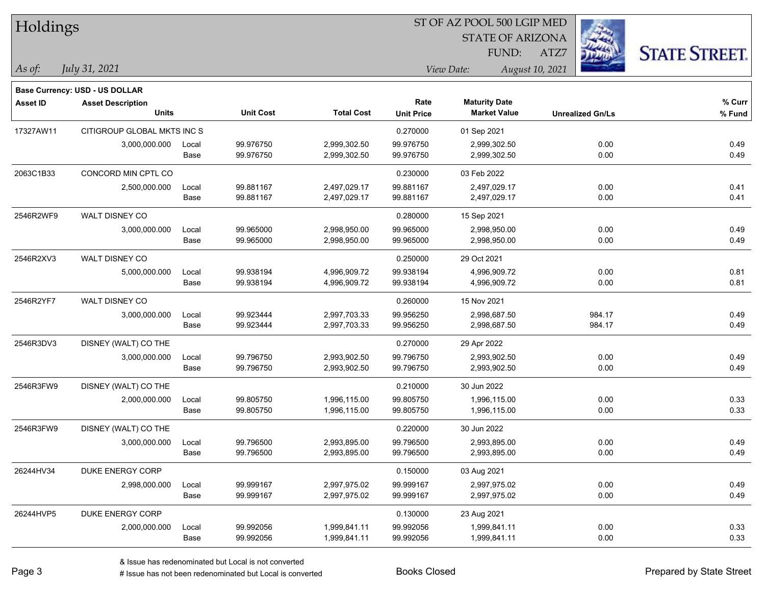| Holdings        |                                          |               |                        |                              |                           | ST OF AZ POOL 500 LGIP MED                  |                         |                      |
|-----------------|------------------------------------------|---------------|------------------------|------------------------------|---------------------------|---------------------------------------------|-------------------------|----------------------|
|                 |                                          |               |                        |                              |                           | <b>STATE OF ARIZONA</b>                     |                         |                      |
|                 |                                          |               |                        |                              |                           | <b>FUND:</b>                                | ATZ7                    | <b>STATE STREET.</b> |
| $\vert$ As of:  | July 31, 2021                            |               |                        |                              |                           | View Date:                                  | August 10, 2021         |                      |
|                 |                                          |               |                        |                              |                           |                                             |                         |                      |
|                 | <b>Base Currency: USD - US DOLLAR</b>    |               |                        |                              |                           |                                             |                         |                      |
| <b>Asset ID</b> | <b>Asset Description</b><br><b>Units</b> |               | <b>Unit Cost</b>       | <b>Total Cost</b>            | Rate<br><b>Unit Price</b> | <b>Maturity Date</b><br><b>Market Value</b> | <b>Unrealized Gn/Ls</b> | % Curr<br>% Fund     |
|                 |                                          |               |                        |                              |                           |                                             |                         |                      |
| 17327AW11       | CITIGROUP GLOBAL MKTS INC S              |               |                        |                              | 0.270000                  | 01 Sep 2021                                 |                         |                      |
|                 | 3,000,000.000                            | Local<br>Base | 99.976750<br>99.976750 | 2,999,302.50<br>2,999,302.50 | 99.976750<br>99.976750    | 2,999,302.50<br>2,999,302.50                | 0.00<br>0.00            | 0.49<br>0.49         |
|                 |                                          |               |                        |                              |                           |                                             |                         |                      |
| 2063C1B33       | CONCORD MIN CPTL CO                      |               |                        |                              | 0.230000                  | 03 Feb 2022                                 |                         |                      |
|                 | 2,500,000.000                            | Local         | 99.881167              | 2,497,029.17                 | 99.881167                 | 2,497,029.17                                | 0.00                    | 0.41                 |
|                 |                                          | Base          | 99.881167              | 2,497,029.17                 | 99.881167                 | 2,497,029.17                                | 0.00                    | 0.41                 |
| 2546R2WF9       | WALT DISNEY CO                           |               |                        |                              | 0.280000                  | 15 Sep 2021                                 |                         |                      |
|                 | 3,000,000.000                            | Local         | 99.965000              | 2,998,950.00                 | 99.965000                 | 2,998,950.00                                | 0.00                    | 0.49                 |
|                 |                                          | Base          | 99.965000              | 2,998,950.00                 | 99.965000                 | 2,998,950.00                                | 0.00                    | 0.49                 |
| 2546R2XV3       | WALT DISNEY CO                           |               |                        |                              | 0.250000                  | 29 Oct 2021                                 |                         |                      |
|                 | 5,000,000.000                            | Local         | 99.938194              | 4,996,909.72                 | 99.938194                 | 4,996,909.72                                | 0.00                    | 0.81                 |
|                 |                                          | Base          | 99.938194              | 4,996,909.72                 | 99.938194                 | 4,996,909.72                                | 0.00                    | 0.81                 |
| 2546R2YF7       | WALT DISNEY CO                           |               |                        |                              | 0.260000                  | 15 Nov 2021                                 |                         |                      |
|                 | 3,000,000.000                            | Local         | 99.923444              | 2,997,703.33                 | 99.956250                 | 2,998,687.50                                | 984.17                  | 0.49                 |
|                 |                                          | Base          | 99.923444              | 2,997,703.33                 | 99.956250                 | 2,998,687.50                                | 984.17                  | 0.49                 |
| 2546R3DV3       | DISNEY (WALT) CO THE                     |               |                        |                              | 0.270000                  | 29 Apr 2022                                 |                         |                      |
|                 | 3,000,000.000                            | Local         | 99.796750              | 2,993,902.50                 | 99.796750                 | 2,993,902.50                                | 0.00                    | 0.49                 |
|                 |                                          | Base          | 99.796750              | 2,993,902.50                 | 99.796750                 | 2,993,902.50                                | 0.00                    | 0.49                 |
| 2546R3FW9       | DISNEY (WALT) CO THE                     |               |                        |                              | 0.210000                  | 30 Jun 2022                                 |                         |                      |
|                 | 2,000,000.000                            | Local         | 99.805750              | 1,996,115.00                 | 99.805750                 | 1,996,115.00                                | 0.00                    | 0.33                 |
|                 |                                          | Base          | 99.805750              | 1,996,115.00                 | 99.805750                 | 1,996,115.00                                | 0.00                    | 0.33                 |
| 2546R3FW9       | DISNEY (WALT) CO THE                     |               |                        |                              | 0.220000                  | 30 Jun 2022                                 |                         |                      |
|                 | 3,000,000.000                            | Local         | 99.796500              | 2,993,895.00                 | 99.796500                 | 2,993,895.00                                | 0.00                    | 0.49                 |
|                 |                                          | Base          | 99.796500              | 2,993,895.00                 | 99.796500                 | 2,993,895.00                                | 0.00                    | 0.49                 |
| 26244HV34       | DUKE ENERGY CORP                         |               |                        |                              | 0.150000                  | 03 Aug 2021                                 |                         |                      |
|                 | 2,998,000.000                            | Local         | 99.999167              | 2,997,975.02                 | 99.999167                 | 2,997,975.02                                | 0.00                    | 0.49                 |
|                 |                                          | Base          | 99.999167              | 2,997,975.02                 | 99.999167                 | 2,997,975.02                                | 0.00                    | 0.49                 |
| 26244HVP5       | DUKE ENERGY CORP                         |               |                        |                              | 0.130000                  | 23 Aug 2021                                 |                         |                      |
|                 | 2,000,000.000                            | Local         | 99.992056              | 1,999,841.11                 | 99.992056                 | 1,999,841.11                                | 0.00                    | 0.33                 |
|                 |                                          | Base          | 99.992056              | 1,999,841.11                 | 99.992056                 | 1,999,841.11                                | 0.00                    | 0.33                 |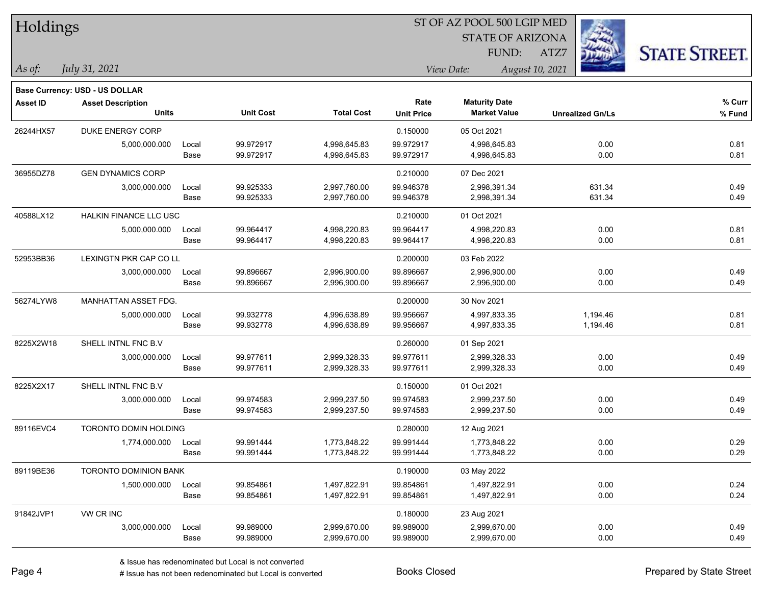| Holdings        |                                |       |                  |                   | ST OF AZ POOL 500 LGIP MED |                         |                         |                      |  |
|-----------------|--------------------------------|-------|------------------|-------------------|----------------------------|-------------------------|-------------------------|----------------------|--|
|                 |                                |       |                  |                   |                            | <b>STATE OF ARIZONA</b> |                         |                      |  |
|                 |                                |       |                  |                   |                            | <b>FUND:</b>            | ATZ7                    | <b>STATE STREET.</b> |  |
| As of:          | July 31, 2021                  |       |                  |                   |                            | View Date:              | August 10, 2021         |                      |  |
|                 | Base Currency: USD - US DOLLAR |       |                  |                   |                            |                         |                         |                      |  |
| <b>Asset ID</b> | <b>Asset Description</b>       |       |                  |                   | Rate                       | <b>Maturity Date</b>    |                         | % Curr               |  |
|                 | <b>Units</b>                   |       | <b>Unit Cost</b> | <b>Total Cost</b> | <b>Unit Price</b>          | <b>Market Value</b>     | <b>Unrealized Gn/Ls</b> | % Fund               |  |
| 26244HX57       | DUKE ENERGY CORP               |       |                  |                   | 0.150000                   | 05 Oct 2021             |                         |                      |  |
|                 | 5,000,000.000                  | Local | 99.972917        | 4,998,645.83      | 99.972917                  | 4,998,645.83            | 0.00                    | 0.81                 |  |
|                 |                                | Base  | 99.972917        | 4,998,645.83      | 99.972917                  | 4,998,645.83            | 0.00                    | 0.81                 |  |
| 36955DZ78       | <b>GEN DYNAMICS CORP</b>       |       |                  |                   | 0.210000                   | 07 Dec 2021             |                         |                      |  |
|                 | 3,000,000.000                  | Local | 99.925333        | 2,997,760.00      | 99.946378                  | 2,998,391.34            | 631.34                  | 0.49                 |  |
|                 |                                | Base  | 99.925333        | 2,997,760.00      | 99.946378                  | 2,998,391.34            | 631.34                  | 0.49                 |  |
| 40588LX12       | <b>HALKIN FINANCE LLC USC</b>  |       |                  |                   | 0.210000                   | 01 Oct 2021             |                         |                      |  |
|                 | 5,000,000.000                  | Local | 99.964417        | 4,998,220.83      | 99.964417                  | 4,998,220.83            | 0.00                    | 0.81                 |  |
|                 |                                | Base  | 99.964417        | 4,998,220.83      | 99.964417                  | 4,998,220.83            | 0.00                    | 0.81                 |  |
| 52953BB36       | LEXINGTN PKR CAP CO LL         |       |                  |                   | 0.200000                   | 03 Feb 2022             |                         |                      |  |
|                 | 3,000,000.000                  | Local | 99.896667        | 2,996,900.00      | 99.896667                  | 2,996,900.00            | 0.00                    | 0.49                 |  |
|                 |                                | Base  | 99.896667        | 2,996,900.00      | 99.896667                  | 2,996,900.00            | 0.00                    | 0.49                 |  |
| 56274LYW8       | MANHATTAN ASSET FDG.           |       |                  |                   | 0.200000                   | 30 Nov 2021             |                         |                      |  |
|                 | 5,000,000.000                  | Local | 99.932778        | 4,996,638.89      | 99.956667                  | 4,997,833.35            | 1,194.46                | 0.81                 |  |
|                 |                                | Base  | 99.932778        | 4,996,638.89      | 99.956667                  | 4,997,833.35            | 1,194.46                | 0.81                 |  |
| 8225X2W18       | SHELL INTNL FNC B.V            |       |                  |                   | 0.260000                   | 01 Sep 2021             |                         |                      |  |
|                 | 3,000,000.000                  | Local | 99.977611        | 2,999,328.33      | 99.977611                  | 2,999,328.33            | 0.00                    | 0.49                 |  |
|                 |                                | Base  | 99.977611        | 2,999,328.33      | 99.977611                  | 2,999,328.33            | 0.00                    | 0.49                 |  |
| 8225X2X17       | SHELL INTNL FNC B.V            |       |                  |                   | 0.150000                   | 01 Oct 2021             |                         |                      |  |
|                 | 3,000,000.000                  | Local | 99.974583        | 2,999,237.50      | 99.974583                  | 2,999,237.50            | 0.00                    | 0.49                 |  |
|                 |                                | Base  | 99.974583        | 2,999,237.50      | 99.974583                  | 2,999,237.50            | 0.00                    | 0.49                 |  |
| 89116EVC4       | TORONTO DOMIN HOLDING          |       |                  |                   | 0.280000                   | 12 Aug 2021             |                         |                      |  |
|                 | 1,774,000.000                  | Local | 99.991444        | 1,773,848.22      | 99.991444                  | 1,773,848.22            | 0.00                    | 0.29                 |  |
|                 |                                | Base  | 99.991444        | 1,773,848.22      | 99.991444                  | 1,773,848.22            | 0.00                    | 0.29                 |  |
| 89119BE36       | <b>TORONTO DOMINION BANK</b>   |       |                  |                   | 0.190000                   | 03 May 2022             |                         |                      |  |
|                 | 1,500,000.000                  | Local | 99.854861        | 1,497,822.91      | 99.854861                  | 1,497,822.91            | 0.00                    | 0.24                 |  |
|                 |                                | Base  | 99.854861        | 1,497,822.91      | 99.854861                  | 1,497,822.91            | 0.00                    | 0.24                 |  |
| 91842JVP1       | VW CR INC                      |       |                  |                   | 0.180000                   | 23 Aug 2021             |                         |                      |  |
|                 | 3,000,000.000                  | Local | 99.989000        | 2,999,670.00      | 99.989000                  | 2,999,670.00            | 0.00                    | 0.49                 |  |
|                 |                                | Base  | 99.989000        | 2,999,670.00      | 99.989000                  | 2,999,670.00            | 0.00                    | 0.49                 |  |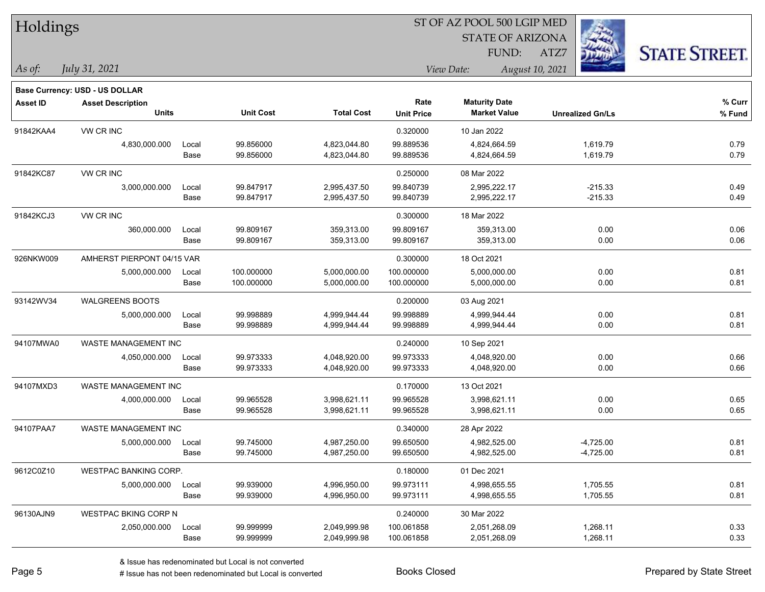| Holdings        |                                          |       |                  | ST OF AZ POOL 500 LGIP MED |                   |                         |                         |                      |  |  |
|-----------------|------------------------------------------|-------|------------------|----------------------------|-------------------|-------------------------|-------------------------|----------------------|--|--|
|                 |                                          |       |                  |                            |                   | <b>STATE OF ARIZONA</b> |                         |                      |  |  |
|                 |                                          |       |                  |                            |                   | FUND:                   | ATZ7                    | <b>STATE STREET.</b> |  |  |
| $ As\;of:$      | July 31, 2021                            |       |                  |                            |                   | View Date:              | August 10, 2021         |                      |  |  |
|                 |                                          |       |                  |                            |                   |                         |                         |                      |  |  |
|                 | <b>Base Currency: USD - US DOLLAR</b>    |       |                  |                            | Rate              | <b>Maturity Date</b>    |                         | % Curr               |  |  |
| <b>Asset ID</b> | <b>Asset Description</b><br><b>Units</b> |       | <b>Unit Cost</b> | <b>Total Cost</b>          | <b>Unit Price</b> | <b>Market Value</b>     | <b>Unrealized Gn/Ls</b> | % Fund               |  |  |
| 91842KAA4       | VW CR INC                                |       |                  |                            | 0.320000          | 10 Jan 2022             |                         |                      |  |  |
|                 | 4,830,000.000                            | Local | 99.856000        | 4,823,044.80               | 99.889536         | 4,824,664.59            | 1,619.79                | 0.79                 |  |  |
|                 |                                          | Base  | 99.856000        | 4,823,044.80               | 99.889536         | 4,824,664.59            | 1,619.79                | 0.79                 |  |  |
| 91842KC87       | VW CR INC                                |       |                  |                            | 0.250000          | 08 Mar 2022             |                         |                      |  |  |
|                 | 3,000,000.000                            | Local | 99.847917        | 2,995,437.50               | 99.840739         | 2,995,222.17            | $-215.33$               | 0.49                 |  |  |
|                 |                                          | Base  | 99.847917        | 2,995,437.50               | 99.840739         | 2,995,222.17            | $-215.33$               | 0.49                 |  |  |
| 91842KCJ3       | VW CR INC                                |       |                  |                            | 0.300000          | 18 Mar 2022             |                         |                      |  |  |
|                 | 360,000.000                              | Local | 99.809167        | 359,313.00                 | 99.809167         | 359,313.00              | 0.00                    | 0.06                 |  |  |
|                 |                                          | Base  | 99.809167        | 359,313.00                 | 99.809167         | 359,313.00              | 0.00                    | 0.06                 |  |  |
| 926NKW009       | AMHERST PIERPONT 04/15 VAR               |       |                  |                            | 0.300000          | 18 Oct 2021             |                         |                      |  |  |
|                 | 5,000,000.000                            | Local | 100.000000       | 5,000,000.00               | 100.000000        | 5,000,000.00            | 0.00                    | 0.81                 |  |  |
|                 |                                          | Base  | 100.000000       | 5,000,000.00               | 100.000000        | 5,000,000.00            | 0.00                    | 0.81                 |  |  |
| 93142WV34       | WALGREENS BOOTS                          |       |                  |                            | 0.200000          | 03 Aug 2021             |                         |                      |  |  |
|                 | 5,000,000.000                            | Local | 99.998889        | 4,999,944.44               | 99.998889         | 4,999,944.44            | 0.00                    | 0.81                 |  |  |
|                 |                                          | Base  | 99.998889        | 4,999,944.44               | 99.998889         | 4,999,944.44            | 0.00                    | 0.81                 |  |  |
| 94107MWA0       | WASTE MANAGEMENT INC                     |       |                  |                            | 0.240000          | 10 Sep 2021             |                         |                      |  |  |
|                 | 4,050,000.000                            | Local | 99.973333        | 4,048,920.00               | 99.973333         | 4,048,920.00            | 0.00                    | 0.66                 |  |  |
|                 |                                          | Base  | 99.973333        | 4,048,920.00               | 99.973333         | 4,048,920.00            | 0.00                    | 0.66                 |  |  |
| 94107MXD3       | WASTE MANAGEMENT INC                     |       |                  |                            | 0.170000          | 13 Oct 2021             |                         |                      |  |  |
|                 | 4,000,000.000                            | Local | 99.965528        | 3,998,621.11               | 99.965528         | 3,998,621.11            | 0.00                    | 0.65                 |  |  |
|                 |                                          | Base  | 99.965528        | 3,998,621.11               | 99.965528         | 3,998,621.11            | 0.00                    | 0.65                 |  |  |
| 94107PAA7       | WASTE MANAGEMENT INC                     |       |                  |                            | 0.340000          | 28 Apr 2022             |                         |                      |  |  |
|                 | 5,000,000.000                            | Local | 99.745000        | 4,987,250.00               | 99.650500         | 4,982,525.00            | $-4,725.00$             | 0.81                 |  |  |
|                 |                                          | Base  | 99.745000        | 4,987,250.00               | 99.650500         | 4,982,525.00            | $-4,725.00$             | 0.81                 |  |  |
| 9612C0Z10       | WESTPAC BANKING CORP.                    |       |                  |                            | 0.180000          | 01 Dec 2021             |                         |                      |  |  |
|                 | 5,000,000.000                            | Local | 99.939000        | 4,996,950.00               | 99.973111         | 4,998,655.55            | 1,705.55                | 0.81                 |  |  |
|                 |                                          | Base  | 99.939000        | 4,996,950.00               | 99.973111         | 4,998,655.55            | 1,705.55                | 0.81                 |  |  |
| 96130AJN9       | <b>WESTPAC BKING CORP N</b>              |       |                  |                            | 0.240000          | 30 Mar 2022             |                         |                      |  |  |
|                 | 2,050,000.000                            | Local | 99.999999        | 2,049,999.98               | 100.061858        | 2,051,268.09            | 1,268.11                | 0.33                 |  |  |
|                 |                                          | Base  | 99.999999        | 2,049,999.98               | 100.061858        | 2,051,268.09            | 1,268.11                | 0.33                 |  |  |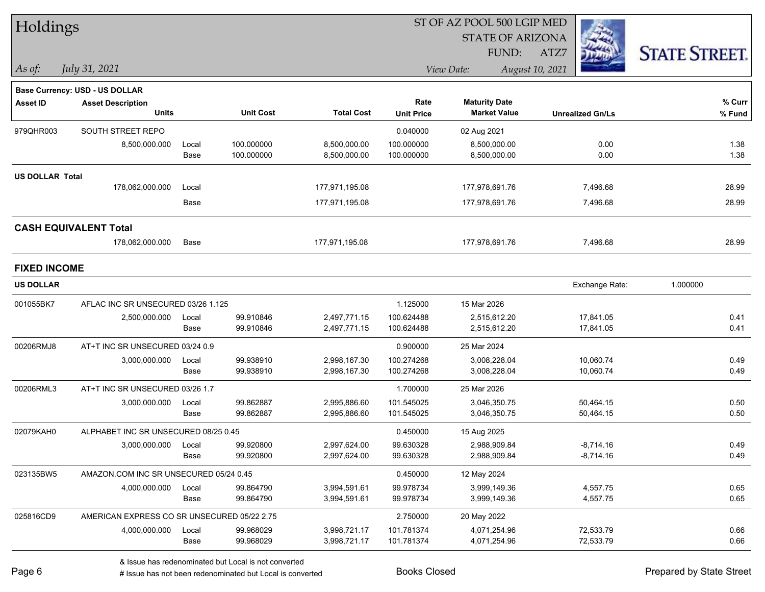|                        | Holdings                                    |       |                  |                   |                   | ST OF AZ POOL 500 LGIP MED |                         |                      |
|------------------------|---------------------------------------------|-------|------------------|-------------------|-------------------|----------------------------|-------------------------|----------------------|
|                        |                                             |       |                  |                   |                   | <b>STATE OF ARIZONA</b>    |                         |                      |
|                        |                                             |       |                  |                   |                   | FUND:                      | ATZ7                    | <b>STATE STREET.</b> |
| $\vert$ As of:         | July 31, 2021                               |       |                  |                   |                   | View Date:                 | August 10, 2021         |                      |
|                        | Base Currency: USD - US DOLLAR              |       |                  |                   |                   |                            |                         |                      |
| Asset ID               | <b>Asset Description</b>                    |       |                  |                   | Rate              | <b>Maturity Date</b>       |                         | % Curr               |
|                        | <b>Units</b>                                |       | <b>Unit Cost</b> | <b>Total Cost</b> | <b>Unit Price</b> | <b>Market Value</b>        | <b>Unrealized Gn/Ls</b> | % Fund               |
| 979QHR003              | SOUTH STREET REPO                           |       |                  |                   | 0.040000          | 02 Aug 2021                |                         |                      |
|                        | 8,500,000.000                               | Local | 100.000000       | 8,500,000.00      | 100.000000        | 8,500,000.00               | 0.00                    | 1.38                 |
|                        |                                             | Base  | 100.000000       | 8,500,000.00      | 100.000000        | 8,500,000.00               | 0.00                    | 1.38                 |
| <b>US DOLLAR Total</b> |                                             |       |                  |                   |                   |                            |                         |                      |
|                        | 178,062,000.000                             | Local |                  | 177,971,195.08    |                   | 177,978,691.76             | 7,496.68                | 28.99                |
|                        |                                             | Base  |                  | 177,971,195.08    |                   | 177,978,691.76             | 7,496.68                | 28.99                |
|                        | <b>CASH EQUIVALENT Total</b>                |       |                  |                   |                   |                            |                         |                      |
|                        | 178,062,000.000                             | Base  |                  | 177,971,195.08    |                   | 177,978,691.76             | 7,496.68                | 28.99                |
| <b>FIXED INCOME</b>    |                                             |       |                  |                   |                   |                            |                         |                      |
| <b>US DOLLAR</b>       |                                             |       |                  |                   |                   |                            | Exchange Rate:          | 1.000000             |
| 001055BK7              | AFLAC INC SR UNSECURED 03/26 1.125          |       |                  |                   | 1.125000          | 15 Mar 2026                |                         |                      |
|                        | 2,500,000.000                               | Local | 99.910846        | 2,497,771.15      | 100.624488        | 2,515,612.20               | 17,841.05               | 0.41                 |
|                        |                                             | Base  | 99.910846        | 2,497,771.15      | 100.624488        | 2,515,612.20               | 17,841.05               | 0.41                 |
| 00206RMJ8              | AT+T INC SR UNSECURED 03/24 0.9             |       |                  |                   | 0.900000          | 25 Mar 2024                |                         |                      |
|                        | 3,000,000.000                               | Local | 99.938910        | 2,998,167.30      | 100.274268        | 3,008,228.04               | 10,060.74               | 0.49                 |
|                        |                                             | Base  | 99.938910        | 2,998,167.30      | 100.274268        | 3,008,228.04               | 10,060.74               | 0.49                 |
| 00206RML3              | AT+T INC SR UNSECURED 03/26 1.7             |       |                  |                   | 1.700000          | 25 Mar 2026                |                         |                      |
|                        | 3,000,000.000                               | Local | 99.862887        | 2,995,886.60      | 101.545025        | 3,046,350.75               | 50,464.15               | 0.50                 |
|                        |                                             | Base  | 99.862887        | 2,995,886.60      | 101.545025        | 3,046,350.75               | 50,464.15               | 0.50                 |
| 02079KAH0              | ALPHABET INC SR UNSECURED 08/25 0.45        |       |                  |                   | 0.450000          | 15 Aug 2025                |                         |                      |
|                        | 3,000,000.000                               | Local | 99.920800        | 2,997,624.00      | 99.630328         | 2,988,909.84               | $-8,714.16$             | 0.49                 |
|                        |                                             | Base  | 99.920800        | 2,997,624.00      | 99.630328         | 2,988,909.84               | $-8,714.16$             | 0.49                 |
| 023135BW5              | AMAZON.COM INC SR UNSECURED 05/24 0.45      |       |                  |                   | 0.450000          | 12 May 2024                |                         |                      |
|                        | 4,000,000.000                               | Local | 99.864790        | 3,994,591.61      | 99.978734         | 3,999,149.36               | 4,557.75                | 0.65                 |
|                        |                                             | Base  | 99.864790        | 3,994,591.61      | 99.978734         | 3,999,149.36               | 4,557.75                | 0.65                 |
| 025816CD9              | AMERICAN EXPRESS CO SR UNSECURED 05/22 2.75 |       |                  |                   | 2.750000          | 20 May 2022                |                         |                      |
|                        | 4,000,000.000                               | Local | 99.968029        | 3,998,721.17      | 101.781374        | 4,071,254.96               | 72,533.79               | 0.66                 |
|                        |                                             | Base  | 99.968029        | 3,998,721.17      | 101.781374        | 4,071,254.96               | 72,533.79               | 0.66                 |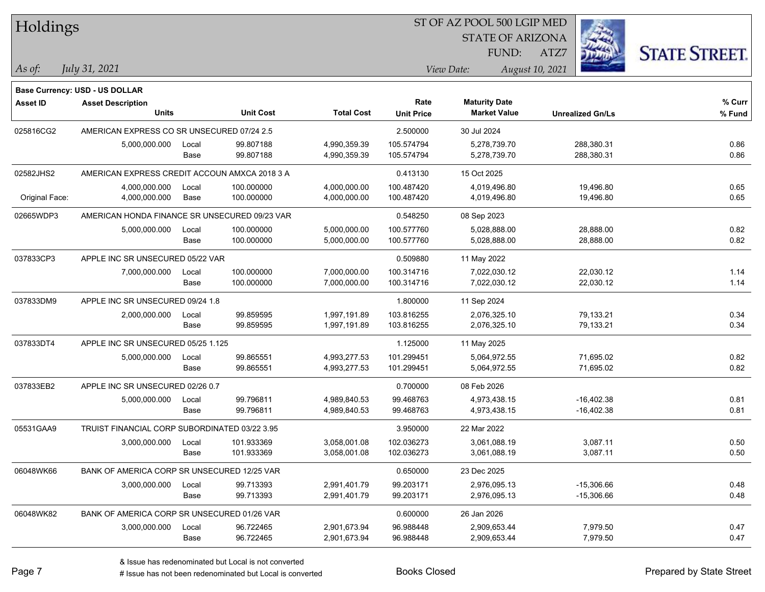| Holdings        |                                               |       |                  |                   | ST OF AZ POOL 500 LGIP MED |                      |                         |                         |                      |  |
|-----------------|-----------------------------------------------|-------|------------------|-------------------|----------------------------|----------------------|-------------------------|-------------------------|----------------------|--|
|                 |                                               |       |                  |                   |                            |                      | <b>STATE OF ARIZONA</b> |                         |                      |  |
|                 |                                               |       |                  |                   |                            | FUND:                | ATZ7                    |                         | <b>STATE STREET.</b> |  |
| As of:          | July 31, 2021                                 |       |                  |                   |                            | View Date:           | August 10, 2021         |                         |                      |  |
|                 | Base Currency: USD - US DOLLAR                |       |                  |                   |                            |                      |                         |                         |                      |  |
| <b>Asset ID</b> | <b>Asset Description</b>                      |       |                  |                   | Rate                       | <b>Maturity Date</b> |                         |                         | % Curr               |  |
|                 | <b>Units</b>                                  |       | <b>Unit Cost</b> | <b>Total Cost</b> | <b>Unit Price</b>          | <b>Market Value</b>  |                         | <b>Unrealized Gn/Ls</b> | % Fund               |  |
| 025816CG2       | AMERICAN EXPRESS CO SR UNSECURED 07/24 2.5    |       |                  |                   | 2.500000                   | 30 Jul 2024          |                         |                         |                      |  |
|                 | 5,000,000.000                                 | Local | 99.807188        | 4,990,359.39      | 105.574794                 | 5,278,739.70         |                         | 288,380.31              | 0.86                 |  |
|                 |                                               | Base  | 99.807188        | 4,990,359.39      | 105.574794                 | 5,278,739.70         |                         | 288,380.31              | 0.86                 |  |
| 02582JHS2       | AMERICAN EXPRESS CREDIT ACCOUN AMXCA 2018 3 A |       |                  |                   | 0.413130                   | 15 Oct 2025          |                         |                         |                      |  |
|                 | 4,000,000.000                                 | Local | 100.000000       | 4,000,000.00      | 100.487420                 | 4,019,496.80         |                         | 19,496.80               | 0.65                 |  |
| Original Face:  | 4,000,000.000                                 | Base  | 100.000000       | 4,000,000.00      | 100.487420                 | 4,019,496.80         |                         | 19,496.80               | 0.65                 |  |
| 02665WDP3       | AMERICAN HONDA FINANCE SR UNSECURED 09/23 VAR |       |                  |                   | 0.548250                   | 08 Sep 2023          |                         |                         |                      |  |
|                 | 5,000,000.000                                 | Local | 100.000000       | 5,000,000.00      | 100.577760                 | 5,028,888.00         |                         | 28,888.00               | 0.82                 |  |
|                 |                                               | Base  | 100.000000       | 5,000,000.00      | 100.577760                 | 5,028,888.00         |                         | 28,888.00               | 0.82                 |  |
| 037833CP3       | APPLE INC SR UNSECURED 05/22 VAR              |       |                  |                   | 0.509880                   | 11 May 2022          |                         |                         |                      |  |
|                 | 7,000,000.000                                 | Local | 100.000000       | 7,000,000.00      | 100.314716                 | 7,022,030.12         |                         | 22,030.12               | 1.14                 |  |
|                 |                                               | Base  | 100.000000       | 7,000,000.00      | 100.314716                 | 7,022,030.12         |                         | 22,030.12               | 1.14                 |  |
| 037833DM9       | APPLE INC SR UNSECURED 09/24 1.8              |       |                  |                   | 1.800000                   | 11 Sep 2024          |                         |                         |                      |  |
|                 | 2,000,000.000                                 | Local | 99.859595        | 1,997,191.89      | 103.816255                 | 2,076,325.10         |                         | 79,133.21               | 0.34                 |  |
|                 |                                               | Base  | 99.859595        | 1,997,191.89      | 103.816255                 | 2,076,325.10         |                         | 79,133.21               | 0.34                 |  |
| 037833DT4       | APPLE INC SR UNSECURED 05/25 1.125            |       |                  |                   | 1.125000                   | 11 May 2025          |                         |                         |                      |  |
|                 | 5,000,000.000                                 | Local | 99.865551        | 4,993,277.53      | 101.299451                 | 5,064,972.55         |                         | 71,695.02               | 0.82                 |  |
|                 |                                               | Base  | 99.865551        | 4,993,277.53      | 101.299451                 | 5,064,972.55         |                         | 71,695.02               | 0.82                 |  |
| 037833EB2       | APPLE INC SR UNSECURED 02/26 0.7              |       |                  |                   | 0.700000                   | 08 Feb 2026          |                         |                         |                      |  |
|                 | 5,000,000.000                                 | Local | 99.796811        | 4,989,840.53      | 99.468763                  | 4,973,438.15         |                         | $-16,402.38$            | 0.81                 |  |
|                 |                                               | Base  | 99.796811        | 4,989,840.53      | 99.468763                  | 4,973,438.15         |                         | $-16,402.38$            | 0.81                 |  |
| 05531GAA9       | TRUIST FINANCIAL CORP SUBORDINATED 03/22 3.95 |       |                  |                   | 3.950000                   | 22 Mar 2022          |                         |                         |                      |  |
|                 | 3,000,000.000                                 | Local | 101.933369       | 3,058,001.08      | 102.036273                 | 3,061,088.19         |                         | 3,087.11                | 0.50                 |  |
|                 |                                               | Base  | 101.933369       | 3,058,001.08      | 102.036273                 | 3,061,088.19         |                         | 3,087.11                | 0.50                 |  |
| 06048WK66       | BANK OF AMERICA CORP SR UNSECURED 12/25 VAR   |       |                  |                   | 0.650000                   | 23 Dec 2025          |                         |                         |                      |  |
|                 | 3,000,000.000                                 | Local | 99.713393        | 2,991,401.79      | 99.203171                  | 2,976,095.13         |                         | $-15,306.66$            | 0.48                 |  |
|                 |                                               | Base  | 99.713393        | 2,991,401.79      | 99.203171                  | 2,976,095.13         |                         | $-15,306.66$            | 0.48                 |  |
| 06048WK82       | BANK OF AMERICA CORP SR UNSECURED 01/26 VAR   |       |                  |                   | 0.600000                   | 26 Jan 2026          |                         |                         |                      |  |
|                 | 3,000,000.000                                 | Local | 96.722465        | 2,901,673.94      | 96.988448                  | 2,909,653.44         |                         | 7,979.50                | 0.47                 |  |
|                 |                                               | Base  | 96.722465        | 2,901,673.94      | 96.988448                  | 2,909,653.44         |                         | 7,979.50                | 0.47                 |  |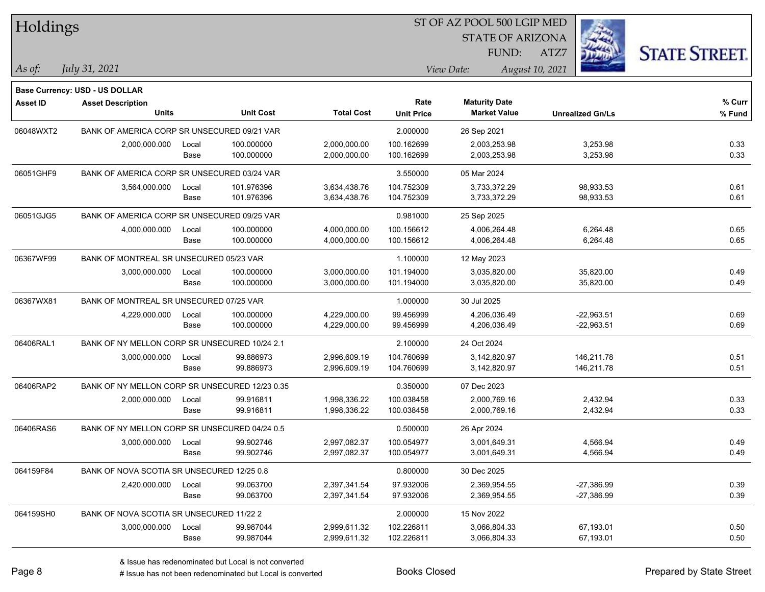| Holdings        |                                                |       |                  |                   | ST OF AZ POOL 500 LGIP MED |                         |                         |                      |  |  |
|-----------------|------------------------------------------------|-------|------------------|-------------------|----------------------------|-------------------------|-------------------------|----------------------|--|--|
|                 |                                                |       |                  |                   |                            | <b>STATE OF ARIZONA</b> |                         |                      |  |  |
|                 |                                                |       |                  |                   |                            | FUND:                   | ATZ7                    | <b>STATE STREET.</b> |  |  |
| As of:          | July 31, 2021                                  |       |                  |                   |                            | View Date:              | August 10, 2021         |                      |  |  |
|                 | Base Currency: USD - US DOLLAR                 |       |                  |                   |                            |                         |                         |                      |  |  |
| <b>Asset ID</b> | <b>Asset Description</b>                       |       |                  |                   | Rate                       | <b>Maturity Date</b>    |                         | % Curr               |  |  |
|                 | <b>Units</b>                                   |       | <b>Unit Cost</b> | <b>Total Cost</b> | <b>Unit Price</b>          | <b>Market Value</b>     | <b>Unrealized Gn/Ls</b> | % Fund               |  |  |
| 06048WXT2       | BANK OF AMERICA CORP SR UNSECURED 09/21 VAR    |       |                  |                   | 2.000000                   | 26 Sep 2021             |                         |                      |  |  |
|                 | 2,000,000.000                                  | Local | 100.000000       | 2,000,000.00      | 100.162699                 | 2,003,253.98            | 3,253.98                | 0.33                 |  |  |
|                 |                                                | Base  | 100.000000       | 2,000,000.00      | 100.162699                 | 2,003,253.98            | 3,253.98                | 0.33                 |  |  |
| 06051GHF9       | BANK OF AMERICA CORP SR UNSECURED 03/24 VAR    |       |                  |                   | 3.550000                   | 05 Mar 2024             |                         |                      |  |  |
|                 | 3,564,000.000                                  | Local | 101.976396       | 3,634,438.76      | 104.752309                 | 3,733,372.29            | 98,933.53               | 0.61                 |  |  |
|                 |                                                | Base  | 101.976396       | 3,634,438.76      | 104.752309                 | 3,733,372.29            | 98,933.53               | 0.61                 |  |  |
| 06051GJG5       | BANK OF AMERICA CORP SR UNSECURED 09/25 VAR    |       |                  |                   | 0.981000                   | 25 Sep 2025             |                         |                      |  |  |
|                 | 4,000,000.000                                  | Local | 100.000000       | 4,000,000.00      | 100.156612                 | 4,006,264.48            | 6,264.48                | 0.65                 |  |  |
|                 |                                                | Base  | 100.000000       | 4,000,000.00      | 100.156612                 | 4,006,264.48            | 6,264.48                | 0.65                 |  |  |
| 06367WF99       | BANK OF MONTREAL SR UNSECURED 05/23 VAR        |       |                  |                   | 1.100000                   | 12 May 2023             |                         |                      |  |  |
|                 | 3,000,000.000                                  | Local | 100.000000       | 3,000,000.00      | 101.194000                 | 3,035,820.00            | 35,820.00               | 0.49                 |  |  |
|                 |                                                | Base  | 100.000000       | 3,000,000.00      | 101.194000                 | 3,035,820.00            | 35,820.00               | 0.49                 |  |  |
| 06367WX81       | BANK OF MONTREAL SR UNSECURED 07/25 VAR        |       |                  |                   | 1.000000                   | 30 Jul 2025             |                         |                      |  |  |
|                 | 4,229,000.000                                  | Local | 100.000000       | 4,229,000.00      | 99.456999                  | 4,206,036.49            | $-22,963.51$            | 0.69                 |  |  |
|                 |                                                | Base  | 100.000000       | 4,229,000.00      | 99.456999                  | 4,206,036.49            | $-22,963.51$            | 0.69                 |  |  |
| 06406RAL1       | BANK OF NY MELLON CORP SR UNSECURED 10/24 2.1  |       |                  |                   | 2.100000                   | 24 Oct 2024             |                         |                      |  |  |
|                 | 3,000,000.000                                  | Local | 99.886973        | 2,996,609.19      | 104.760699                 | 3,142,820.97            | 146,211.78              | 0.51                 |  |  |
|                 |                                                | Base  | 99.886973        | 2,996,609.19      | 104.760699                 | 3,142,820.97            | 146,211.78              | 0.51                 |  |  |
| 06406RAP2       | BANK OF NY MELLON CORP SR UNSECURED 12/23 0.35 |       |                  |                   | 0.350000                   | 07 Dec 2023             |                         |                      |  |  |
|                 | 2,000,000.000                                  | Local | 99.916811        | 1,998,336.22      | 100.038458                 | 2,000,769.16            | 2,432.94                | 0.33                 |  |  |
|                 |                                                | Base  | 99.916811        | 1,998,336.22      | 100.038458                 | 2,000,769.16            | 2,432.94                | 0.33                 |  |  |
| 06406RAS6       | BANK OF NY MELLON CORP SR UNSECURED 04/24 0.5  |       |                  |                   | 0.500000                   | 26 Apr 2024             |                         |                      |  |  |
|                 | 3,000,000.000                                  | Local | 99.902746        | 2,997,082.37      | 100.054977                 | 3,001,649.31            | 4,566.94                | 0.49                 |  |  |
|                 |                                                | Base  | 99.902746        | 2,997,082.37      | 100.054977                 | 3,001,649.31            | 4,566.94                | 0.49                 |  |  |
| 064159F84       | BANK OF NOVA SCOTIA SR UNSECURED 12/25 0.8     |       |                  |                   | 0.800000                   | 30 Dec 2025             |                         |                      |  |  |
|                 | 2,420,000.000                                  | Local | 99.063700        | 2,397,341.54      | 97.932006                  | 2,369,954.55            | $-27,386.99$            | 0.39                 |  |  |
|                 |                                                | Base  | 99.063700        | 2,397,341.54      | 97.932006                  | 2,369,954.55            | $-27,386.99$            | 0.39                 |  |  |
| 064159SH0       | BANK OF NOVA SCOTIA SR UNSECURED 11/22 2       |       |                  |                   | 2.000000                   | 15 Nov 2022             |                         |                      |  |  |
|                 | 3,000,000.000                                  | Local | 99.987044        | 2,999,611.32      | 102.226811                 | 3,066,804.33            | 67,193.01               | 0.50                 |  |  |
|                 |                                                | Base  | 99.987044        | 2,999,611.32      | 102.226811                 | 3,066,804.33            | 67,193.01               | 0.50                 |  |  |

 $\mathbf{H}$   $\mathbf{H}$   $\mathbf{H}$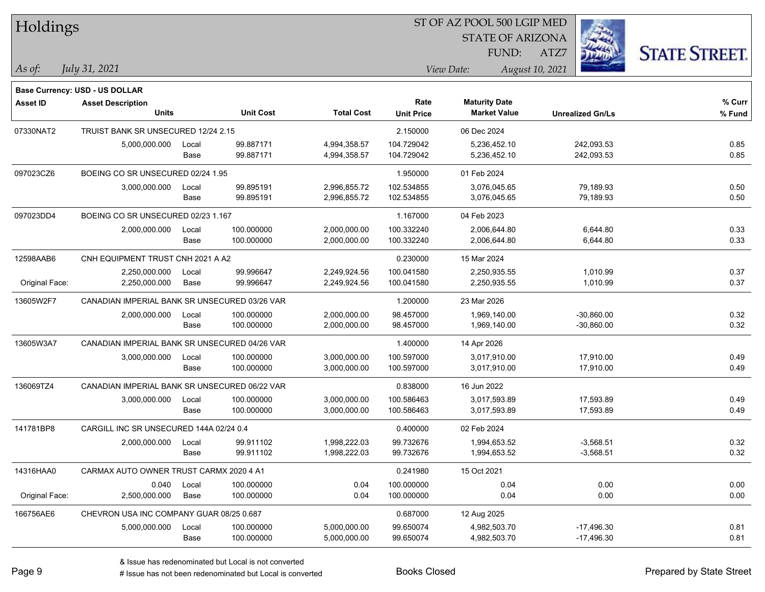| Holdings        |                                               |       |                  |                   |                   | ST OF AZ POOL 500 LGIP MED |                         |                      |
|-----------------|-----------------------------------------------|-------|------------------|-------------------|-------------------|----------------------------|-------------------------|----------------------|
|                 |                                               |       |                  |                   |                   | <b>STATE OF ARIZONA</b>    |                         |                      |
|                 |                                               |       |                  |                   |                   | FUND:                      | ATZ7                    | <b>STATE STREET.</b> |
| As of:          | July 31, 2021                                 |       |                  |                   |                   | View Date:                 | August 10, 2021         |                      |
|                 | Base Currency: USD - US DOLLAR                |       |                  |                   |                   |                            |                         |                      |
| <b>Asset ID</b> | <b>Asset Description</b>                      |       |                  |                   | Rate              | <b>Maturity Date</b>       |                         | % Curr               |
|                 | <b>Units</b>                                  |       | <b>Unit Cost</b> | <b>Total Cost</b> | <b>Unit Price</b> | <b>Market Value</b>        | <b>Unrealized Gn/Ls</b> | % Fund               |
| 07330NAT2       | TRUIST BANK SR UNSECURED 12/24 2.15           |       |                  |                   | 2.150000          | 06 Dec 2024                |                         |                      |
|                 | 5,000,000.000                                 | Local | 99.887171        | 4,994,358.57      | 104.729042        | 5,236,452.10               | 242,093.53              | 0.85                 |
|                 |                                               | Base  | 99.887171        | 4,994,358.57      | 104.729042        | 5,236,452.10               | 242,093.53              | 0.85                 |
| 097023CZ6       | BOEING CO SR UNSECURED 02/24 1.95             |       |                  |                   | 1.950000          | 01 Feb 2024                |                         |                      |
|                 | 3,000,000.000                                 | Local | 99.895191        | 2,996,855.72      | 102.534855        | 3,076,045.65               | 79,189.93               | 0.50                 |
|                 |                                               | Base  | 99.895191        | 2,996,855.72      | 102.534855        | 3,076,045.65               | 79,189.93               | 0.50                 |
| 097023DD4       | BOEING CO SR UNSECURED 02/23 1.167            |       |                  |                   | 1.167000          | 04 Feb 2023                |                         |                      |
|                 | 2,000,000.000                                 | Local | 100.000000       | 2,000,000.00      | 100.332240        | 2,006,644.80               | 6,644.80                | 0.33                 |
|                 |                                               | Base  | 100.000000       | 2,000,000.00      | 100.332240        | 2,006,644.80               | 6,644.80                | 0.33                 |
| 12598AAB6       | CNH EQUIPMENT TRUST CNH 2021 A A2             |       |                  |                   | 0.230000          | 15 Mar 2024                |                         |                      |
|                 | 2,250,000.000                                 | Local | 99.996647        | 2,249,924.56      | 100.041580        | 2,250,935.55               | 1,010.99                | 0.37                 |
| Original Face:  | 2,250,000.000                                 | Base  | 99.996647        | 2,249,924.56      | 100.041580        | 2,250,935.55               | 1,010.99                | 0.37                 |
| 13605W2F7       | CANADIAN IMPERIAL BANK SR UNSECURED 03/26 VAR |       |                  |                   | 1.200000          | 23 Mar 2026                |                         |                      |
|                 | 2,000,000.000                                 | Local | 100.000000       | 2,000,000.00      | 98.457000         | 1,969,140.00               | $-30,860.00$            | 0.32                 |
|                 |                                               | Base  | 100.000000       | 2,000,000.00      | 98.457000         | 1,969,140.00               | $-30,860.00$            | 0.32                 |
| 13605W3A7       | CANADIAN IMPERIAL BANK SR UNSECURED 04/26 VAR |       |                  |                   | 1.400000          | 14 Apr 2026                |                         |                      |
|                 | 3,000,000.000                                 | Local | 100.000000       | 3,000,000.00      | 100.597000        | 3,017,910.00               | 17,910.00               | 0.49                 |
|                 |                                               | Base  | 100.000000       | 3,000,000.00      | 100.597000        | 3,017,910.00               | 17,910.00               | 0.49                 |
| 136069TZ4       | CANADIAN IMPERIAL BANK SR UNSECURED 06/22 VAR |       |                  |                   | 0.838000          | 16 Jun 2022                |                         |                      |
|                 | 3,000,000.000                                 | Local | 100.000000       | 3,000,000.00      | 100.586463        | 3,017,593.89               | 17,593.89               | 0.49                 |
|                 |                                               | Base  | 100.000000       | 3,000,000.00      | 100.586463        | 3,017,593.89               | 17,593.89               | 0.49                 |
| 141781BP8       | CARGILL INC SR UNSECURED 144A 02/24 0.4       |       |                  |                   | 0.400000          | 02 Feb 2024                |                         |                      |
|                 | 2,000,000.000                                 | Local | 99.911102        | 1,998,222.03      | 99.732676         | 1,994,653.52               | $-3,568.51$             | 0.32                 |
|                 |                                               | Base  | 99.911102        | 1,998,222.03      | 99.732676         | 1,994,653.52               | $-3,568.51$             | 0.32                 |
| 14316HAA0       | CARMAX AUTO OWNER TRUST CARMX 2020 4 A1       |       |                  |                   | 0.241980          | 15 Oct 2021                |                         |                      |
|                 | 0.040                                         | Local | 100.000000       | 0.04              | 100.000000        | 0.04                       | 0.00                    | 0.00                 |
| Original Face:  | 2,500,000.000                                 | Base  | 100.000000       | 0.04              | 100.000000        | 0.04                       | 0.00                    | 0.00                 |
| 166756AE6       | CHEVRON USA INC COMPANY GUAR 08/25 0.687      |       |                  |                   | 0.687000          | 12 Aug 2025                |                         |                      |
|                 | 5,000,000.000                                 | Local | 100.000000       | 5,000,000.00      | 99.650074         | 4,982,503.70               | $-17,496.30$            | 0.81                 |
|                 |                                               | Base  | 100.000000       | 5,000,000.00      | 99.650074         | 4,982,503.70               | $-17,496.30$            | 0.81                 |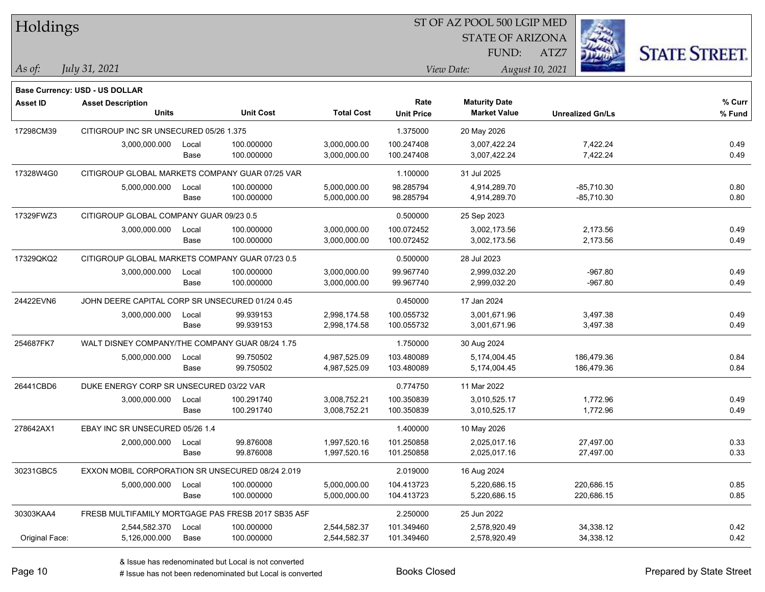| Holdings        |                                                  |       |                                                    |                   | SI OF AZ POOL 500 LGIP MED |                                             |                 |                         |                      |  |
|-----------------|--------------------------------------------------|-------|----------------------------------------------------|-------------------|----------------------------|---------------------------------------------|-----------------|-------------------------|----------------------|--|
|                 |                                                  |       |                                                    |                   |                            | <b>STATE OF ARIZONA</b>                     |                 | Ź.                      |                      |  |
|                 |                                                  |       |                                                    |                   |                            | FUND:                                       | ATZ7            |                         | <b>STATE STREET.</b> |  |
| As of:          | July 31, 2021                                    |       |                                                    |                   |                            | View Date:                                  | August 10, 2021 |                         |                      |  |
|                 |                                                  |       |                                                    |                   |                            |                                             |                 |                         |                      |  |
|                 | <b>Base Currency: USD - US DOLLAR</b>            |       |                                                    |                   |                            |                                             |                 |                         |                      |  |
| <b>Asset ID</b> | <b>Asset Description</b><br>Units                |       | <b>Unit Cost</b>                                   | <b>Total Cost</b> | Rate                       | <b>Maturity Date</b><br><b>Market Value</b> |                 |                         | % Curr               |  |
|                 |                                                  |       |                                                    |                   | <b>Unit Price</b>          |                                             |                 | <b>Unrealized Gn/Ls</b> | % Fund               |  |
| 17298CM39       | CITIGROUP INC SR UNSECURED 05/26 1.375           |       |                                                    |                   | 1.375000                   | 20 May 2026                                 |                 |                         |                      |  |
|                 | 3,000,000.000                                    | Local | 100.000000                                         | 3,000,000.00      | 100.247408                 | 3,007,422.24                                |                 | 7,422.24                | 0.49                 |  |
|                 |                                                  | Base  | 100.000000                                         | 3,000,000.00      | 100.247408                 | 3,007,422.24                                |                 | 7,422.24                | 0.49                 |  |
| 17328W4G0       | CITIGROUP GLOBAL MARKETS COMPANY GUAR 07/25 VAR  |       |                                                    |                   | 1.100000                   | 31 Jul 2025                                 |                 |                         |                      |  |
|                 | 5,000,000.000                                    | Local | 100.000000                                         | 5,000,000.00      | 98.285794                  | 4,914,289.70                                |                 | $-85,710.30$            | 0.80                 |  |
|                 |                                                  | Base  | 100.000000                                         | 5,000,000.00      | 98.285794                  | 4,914,289.70                                |                 | $-85,710.30$            | 0.80                 |  |
| 17329FWZ3       | CITIGROUP GLOBAL COMPANY GUAR 09/23 0.5          |       |                                                    |                   | 0.500000                   | 25 Sep 2023                                 |                 |                         |                      |  |
|                 | 3,000,000.000                                    | Local | 100.000000                                         | 3,000,000.00      | 100.072452                 | 3,002,173.56                                |                 | 2,173.56                | 0.49                 |  |
|                 |                                                  | Base  | 100.000000                                         | 3,000,000.00      | 100.072452                 | 3,002,173.56                                |                 | 2,173.56                | 0.49                 |  |
| 17329QKQ2       | CITIGROUP GLOBAL MARKETS COMPANY GUAR 07/23 0.5  |       |                                                    |                   | 0.500000                   | 28 Jul 2023                                 |                 |                         |                      |  |
|                 | 3,000,000.000                                    | Local | 100.000000                                         | 3,000,000.00      | 99.967740                  | 2,999,032.20                                |                 | $-967.80$               | 0.49                 |  |
|                 |                                                  | Base  | 100.000000                                         | 3,000,000.00      | 99.967740                  | 2,999,032.20                                |                 | $-967.80$               | 0.49                 |  |
| 24422EVN6       | JOHN DEERE CAPITAL CORP SR UNSECURED 01/24 0.45  |       |                                                    |                   | 0.450000                   | 17 Jan 2024                                 |                 |                         |                      |  |
|                 | 3,000,000.000                                    | Local | 99.939153                                          | 2,998,174.58      | 100.055732                 | 3,001,671.96                                |                 | 3,497.38                | 0.49                 |  |
|                 |                                                  | Base  | 99.939153                                          | 2,998,174.58      | 100.055732                 | 3,001,671.96                                |                 | 3,497.38                | 0.49                 |  |
| 254687FK7       | WALT DISNEY COMPANY/THE COMPANY GUAR 08/24 1.75  |       |                                                    |                   | 1.750000                   | 30 Aug 2024                                 |                 |                         |                      |  |
|                 | 5,000,000.000                                    | Local | 99.750502                                          | 4,987,525.09      | 103.480089                 | 5,174,004.45                                |                 | 186,479.36              | 0.84                 |  |
|                 |                                                  | Base  | 99.750502                                          | 4,987,525.09      | 103.480089                 | 5,174,004.45                                |                 | 186,479.36              | 0.84                 |  |
| 26441CBD6       | DUKE ENERGY CORP SR UNSECURED 03/22 VAR          |       |                                                    |                   | 0.774750                   | 11 Mar 2022                                 |                 |                         |                      |  |
|                 | 3,000,000.000                                    | Local | 100.291740                                         | 3,008,752.21      | 100.350839                 | 3,010,525.17                                |                 | 1,772.96                | 0.49                 |  |
|                 |                                                  | Base  | 100.291740                                         | 3,008,752.21      | 100.350839                 | 3,010,525.17                                |                 | 1,772.96                | 0.49                 |  |
| 278642AX1       | EBAY INC SR UNSECURED 05/26 1.4                  |       |                                                    |                   | 1.400000                   | 10 May 2026                                 |                 |                         |                      |  |
|                 | 2,000,000.000                                    | Local | 99.876008                                          | 1,997,520.16      | 101.250858                 | 2,025,017.16                                |                 | 27,497.00               | 0.33                 |  |
|                 |                                                  | Base  | 99.876008                                          | 1,997,520.16      | 101.250858                 | 2,025,017.16                                |                 | 27,497.00               | 0.33                 |  |
| 30231GBC5       | EXXON MOBIL CORPORATION SR UNSECURED 08/24 2.019 |       |                                                    |                   | 2.019000                   | 16 Aug 2024                                 |                 |                         |                      |  |
|                 | 5,000,000.000                                    | Local | 100.000000                                         | 5,000,000.00      | 104.413723                 | 5,220,686.15                                |                 | 220,686.15              | 0.85                 |  |
|                 |                                                  | Base  | 100.000000                                         | 5,000,000.00      | 104.413723                 | 5,220,686.15                                |                 | 220,686.15              | 0.85                 |  |
| 30303KAA4       |                                                  |       | FRESB MULTIFAMILY MORTGAGE PAS FRESB 2017 SB35 A5F |                   | 2.250000                   | 25 Jun 2022                                 |                 |                         |                      |  |
|                 | 2,544,582.370                                    | Local | 100.000000                                         | 2,544,582.37      | 101.349460                 | 2,578,920.49                                |                 | 34,338.12               | 0.42                 |  |
| Original Face:  | 5,126,000.000                                    | Base  | 100.000000                                         | 2,544,582.37      | 101.349460                 | 2,578,920.49                                |                 | 34,338.12               | 0.42                 |  |
|                 |                                                  |       |                                                    |                   |                            |                                             |                 |                         |                      |  |

 $\overline{B}$   $\overline{B}$   $\overline{B}$   $\overline{B}$   $\overline{C}$   $\overline{D}$   $\overline{D}$   $\overline{D}$   $\overline{D}$   $\overline{D}$   $\overline{D}$   $\overline{D}$   $\overline{D}$   $\overline{D}$   $\overline{D}$   $\overline{D}$   $\overline{D}$   $\overline{D}$   $\overline{D}$   $\overline{D}$   $\overline{D}$   $\overline{D}$   $\overline{D}$   $\overline{D}$   $\overline{$ 

٦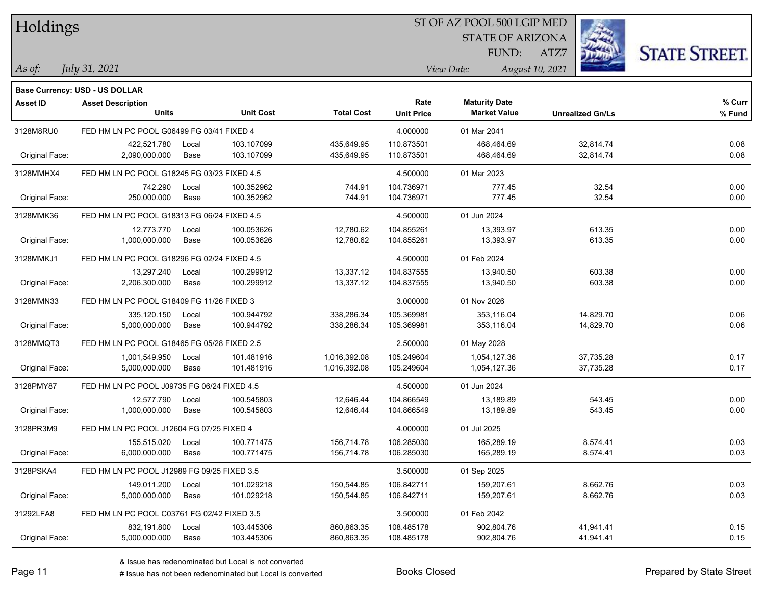| Holdings |  |  |
|----------|--|--|
|          |  |  |

### ST OF AZ POOL 500 LGIP MED

STATE OF ARIZONA FUND:

ATZ7



*July 31, 2021*

**Base Currency: USD - US DOLLAR**

*As of: View Date: August 10, 2021*

| Asset ID       | <b>Asset Description</b>                    |       |                  |                   | Rate              | <b>Maturity Date</b> |                         | % Curr |
|----------------|---------------------------------------------|-------|------------------|-------------------|-------------------|----------------------|-------------------------|--------|
|                | <b>Units</b>                                |       | <b>Unit Cost</b> | <b>Total Cost</b> | <b>Unit Price</b> | <b>Market Value</b>  | <b>Unrealized Gn/Ls</b> | % Fund |
| 3128M8RU0      | FED HM LN PC POOL G06499 FG 03/41 FIXED 4   |       |                  |                   | 4.000000          | 01 Mar 2041          |                         |        |
|                | 422,521.780                                 | Local | 103.107099       | 435,649.95        | 110.873501        | 468,464.69           | 32,814.74               | 0.08   |
| Original Face: | 2,090,000.000                               | Base  | 103.107099       | 435,649.95        | 110.873501        | 468,464.69           | 32,814.74               | 0.08   |
| 3128MMHX4      | FED HM LN PC POOL G18245 FG 03/23 FIXED 4.5 |       |                  |                   | 4.500000          | 01 Mar 2023          |                         |        |
|                | 742.290                                     | Local | 100.352962       | 744.91            | 104.736971        | 777.45               | 32.54                   | 0.00   |
| Original Face: | 250,000.000                                 | Base  | 100.352962       | 744.91            | 104.736971        | 777.45               | 32.54                   | 0.00   |
| 3128MMK36      | FED HM LN PC POOL G18313 FG 06/24 FIXED 4.5 |       |                  |                   | 4.500000          | 01 Jun 2024          |                         |        |
|                | 12,773.770                                  | Local | 100.053626       | 12,780.62         | 104.855261        | 13,393.97            | 613.35                  | 0.00   |
| Original Face: | 1,000,000.000                               | Base  | 100.053626       | 12,780.62         | 104.855261        | 13,393.97            | 613.35                  | 0.00   |
| 3128MMKJ1      | FED HM LN PC POOL G18296 FG 02/24 FIXED 4.5 |       |                  |                   | 4.500000          | 01 Feb 2024          |                         |        |
|                | 13,297.240                                  | Local | 100.299912       | 13,337.12         | 104.837555        | 13,940.50            | 603.38                  | 0.00   |
| Original Face: | 2,206,300.000                               | Base  | 100.299912       | 13,337.12         | 104.837555        | 13,940.50            | 603.38                  | 0.00   |
| 3128MMN33      | FED HM LN PC POOL G18409 FG 11/26 FIXED 3   |       |                  |                   | 3.000000          | 01 Nov 2026          |                         |        |
|                | 335,120.150                                 | Local | 100.944792       | 338,286.34        | 105.369981        | 353,116.04           | 14,829.70               | 0.06   |
| Original Face: | 5,000,000.000                               | Base  | 100.944792       | 338,286.34        | 105.369981        | 353,116.04           | 14,829.70               | 0.06   |
| 3128MMQT3      | FED HM LN PC POOL G18465 FG 05/28 FIXED 2.5 |       |                  |                   | 2.500000          | 01 May 2028          |                         |        |
|                | 1,001,549.950                               | Local | 101.481916       | 1,016,392.08      | 105.249604        | 1,054,127.36         | 37,735.28               | 0.17   |
| Original Face: | 5,000,000.000                               | Base  | 101.481916       | 1,016,392.08      | 105.249604        | 1,054,127.36         | 37,735.28               | 0.17   |
| 3128PMY87      | FED HM LN PC POOL J09735 FG 06/24 FIXED 4.5 |       |                  |                   | 4.500000          | 01 Jun 2024          |                         |        |
|                | 12,577.790                                  | Local | 100.545803       | 12,646.44         | 104.866549        | 13,189.89            | 543.45                  | 0.00   |
| Original Face: | 1,000,000.000                               | Base  | 100.545803       | 12,646.44         | 104.866549        | 13,189.89            | 543.45                  | 0.00   |
| 3128PR3M9      | FED HM LN PC POOL J12604 FG 07/25 FIXED 4   |       |                  |                   | 4.000000          | 01 Jul 2025          |                         |        |
|                | 155,515.020                                 | Local | 100.771475       | 156,714.78        | 106.285030        | 165,289.19           | 8,574.41                | 0.03   |
| Original Face: | 6,000,000.000                               | Base  | 100.771475       | 156,714.78        | 106.285030        | 165,289.19           | 8,574.41                | 0.03   |
| 3128PSKA4      | FED HM LN PC POOL J12989 FG 09/25 FIXED 3.5 |       |                  |                   | 3.500000          | 01 Sep 2025          |                         |        |
|                | 149,011.200                                 | Local | 101.029218       | 150,544.85        | 106.842711        | 159,207.61           | 8,662.76                | 0.03   |
| Original Face: | 5,000,000.000                               | Base  | 101.029218       | 150,544.85        | 106.842711        | 159,207.61           | 8,662.76                | 0.03   |
| 31292LFA8      | FED HM LN PC POOL C03761 FG 02/42 FIXED 3.5 |       |                  |                   | 3.500000          | 01 Feb 2042          |                         |        |
|                | 832,191.800                                 | Local | 103.445306       | 860,863.35        | 108.485178        | 902,804.76           | 41,941.41               | 0.15   |
| Original Face: | 5,000,000.000                               | Base  | 103.445306       | 860,863.35        | 108.485178        | 902,804.76           | 41,941.41               | 0.15   |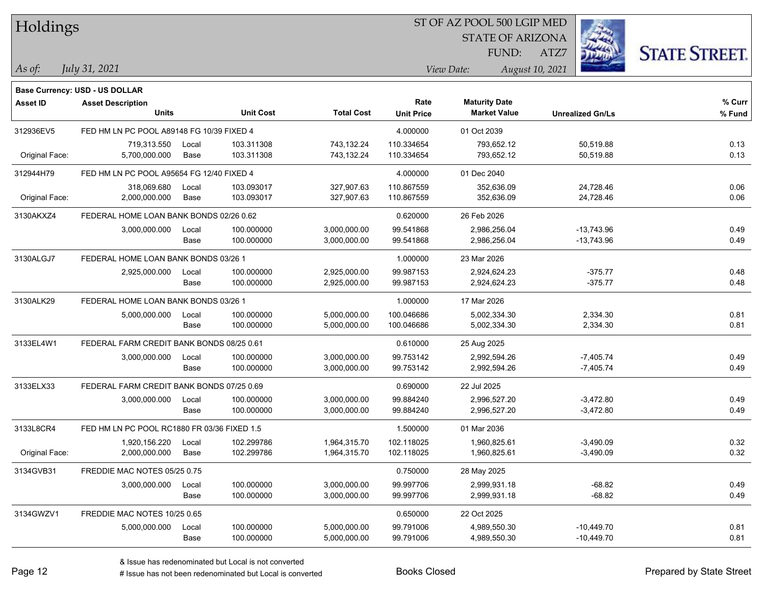| Holdings        |                                             |               |                          |                          |                           | ST OF AZ POOL 500 LGIP MED                  |                 |                         |                      |
|-----------------|---------------------------------------------|---------------|--------------------------|--------------------------|---------------------------|---------------------------------------------|-----------------|-------------------------|----------------------|
|                 |                                             |               |                          |                          |                           | <b>STATE OF ARIZONA</b>                     |                 |                         |                      |
|                 |                                             |               |                          |                          |                           | FUND:                                       | ATZ7            |                         | <b>STATE STREET.</b> |
| $\vert$ As of:  | July 31, 2021                               |               |                          |                          |                           | View Date:                                  | August 10, 2021 |                         |                      |
|                 |                                             |               |                          |                          |                           |                                             |                 |                         |                      |
|                 | <b>Base Currency: USD - US DOLLAR</b>       |               |                          |                          |                           |                                             |                 |                         |                      |
| <b>Asset ID</b> | <b>Asset Description</b><br><b>Units</b>    |               | <b>Unit Cost</b>         | <b>Total Cost</b>        | Rate<br><b>Unit Price</b> | <b>Maturity Date</b><br><b>Market Value</b> |                 | <b>Unrealized Gn/Ls</b> | % Curr<br>% Fund     |
|                 |                                             |               |                          |                          |                           |                                             |                 |                         |                      |
| 312936EV5       | FED HM LN PC POOL A89148 FG 10/39 FIXED 4   |               |                          |                          | 4.000000                  | 01 Oct 2039                                 |                 |                         |                      |
| Original Face:  | 719.313.550<br>5,700,000.000                | Local<br>Base | 103.311308<br>103.311308 | 743,132.24<br>743,132.24 | 110.334654<br>110.334654  | 793,652.12<br>793,652.12                    |                 | 50,519.88<br>50,519.88  | 0.13<br>0.13         |
|                 |                                             |               |                          |                          |                           |                                             |                 |                         |                      |
| 312944H79       | FED HM LN PC POOL A95654 FG 12/40 FIXED 4   |               |                          |                          | 4.000000                  | 01 Dec 2040                                 |                 |                         |                      |
|                 | 318,069.680                                 | Local         | 103.093017               | 327,907.63               | 110.867559                | 352,636.09                                  |                 | 24,728.46               | 0.06                 |
| Original Face:  | 2,000,000.000                               | Base          | 103.093017               | 327,907.63               | 110.867559                | 352,636.09                                  |                 | 24,728.46               | 0.06                 |
| 3130AKXZ4       | FEDERAL HOME LOAN BANK BONDS 02/26 0.62     |               |                          |                          | 0.620000                  | 26 Feb 2026                                 |                 |                         |                      |
|                 | 3,000,000.000                               | Local         | 100.000000               | 3,000,000.00             | 99.541868                 | 2,986,256.04                                |                 | $-13,743.96$            | 0.49                 |
|                 |                                             | Base          | 100.000000               | 3,000,000.00             | 99.541868                 | 2,986,256.04                                |                 | -13,743.96              | 0.49                 |
| 3130ALGJ7       | FEDERAL HOME LOAN BANK BONDS 03/26 1        |               |                          |                          | 1.000000                  | 23 Mar 2026                                 |                 |                         |                      |
|                 | 2,925,000.000                               | Local         | 100.000000               | 2,925,000.00             | 99.987153                 | 2,924,624.23                                |                 | $-375.77$               | 0.48                 |
|                 |                                             | Base          | 100.000000               | 2,925,000.00             | 99.987153                 | 2,924,624.23                                |                 | $-375.77$               | 0.48                 |
| 3130ALK29       | FEDERAL HOME LOAN BANK BONDS 03/26 1        |               |                          |                          | 1.000000                  | 17 Mar 2026                                 |                 |                         |                      |
|                 | 5,000,000.000                               | Local         | 100.000000               | 5,000,000.00             | 100.046686                | 5,002,334.30                                |                 | 2,334.30                | 0.81                 |
|                 |                                             | Base          | 100.000000               | 5,000,000.00             | 100.046686                | 5,002,334.30                                |                 | 2,334.30                | 0.81                 |
| 3133EL4W1       | FEDERAL FARM CREDIT BANK BONDS 08/25 0.61   |               |                          |                          | 0.610000                  | 25 Aug 2025                                 |                 |                         |                      |
|                 | 3,000,000.000                               | Local         | 100.000000               | 3,000,000.00             | 99.753142                 | 2,992,594.26                                |                 | $-7,405.74$             | 0.49                 |
|                 |                                             | Base          | 100.000000               | 3,000,000.00             | 99.753142                 | 2,992,594.26                                |                 | $-7,405.74$             | 0.49                 |
| 3133ELX33       | FEDERAL FARM CREDIT BANK BONDS 07/25 0.69   |               |                          |                          | 0.690000                  | 22 Jul 2025                                 |                 |                         |                      |
|                 | 3,000,000.000                               | Local         | 100.000000               | 3,000,000.00             | 99.884240                 | 2,996,527.20                                |                 | $-3,472.80$             | 0.49                 |
|                 |                                             | Base          | 100.000000               | 3,000,000.00             | 99.884240                 | 2,996,527.20                                |                 | $-3,472.80$             | 0.49                 |
| 3133L8CR4       | FED HM LN PC POOL RC1880 FR 03/36 FIXED 1.5 |               |                          |                          | 1.500000                  | 01 Mar 2036                                 |                 |                         |                      |
|                 | 1,920,156.220                               | Local         | 102.299786               | 1,964,315.70             | 102.118025                | 1,960,825.61                                |                 | $-3,490.09$             | 0.32                 |
| Original Face:  | 2,000,000.000                               | Base          | 102.299786               | 1,964,315.70             | 102.118025                | 1,960,825.61                                |                 | $-3,490.09$             | 0.32                 |
| 3134GVB31       | FREDDIE MAC NOTES 05/25 0.75                |               |                          |                          | 0.750000                  | 28 May 2025                                 |                 |                         |                      |
|                 | 3,000,000.000                               | Local         | 100.000000               | 3,000,000.00             | 99.997706                 | 2,999,931.18                                |                 | $-68.82$                | 0.49                 |
|                 |                                             | Base          | 100.000000               | 3,000,000.00             | 99.997706                 | 2,999,931.18                                |                 | $-68.82$                | 0.49                 |
| 3134GWZV1       | FREDDIE MAC NOTES 10/25 0.65                |               |                          |                          | 0.650000                  | 22 Oct 2025                                 |                 |                         |                      |
|                 | 5,000,000.000                               | Local         | 100.000000               | 5,000,000.00             | 99.791006                 | 4,989,550.30                                |                 | $-10,449.70$            | 0.81                 |
|                 |                                             | Base          | 100.000000               | 5,000,000.00             | 99.791006                 | 4,989,550.30                                |                 | $-10,449.70$            | 0.81                 |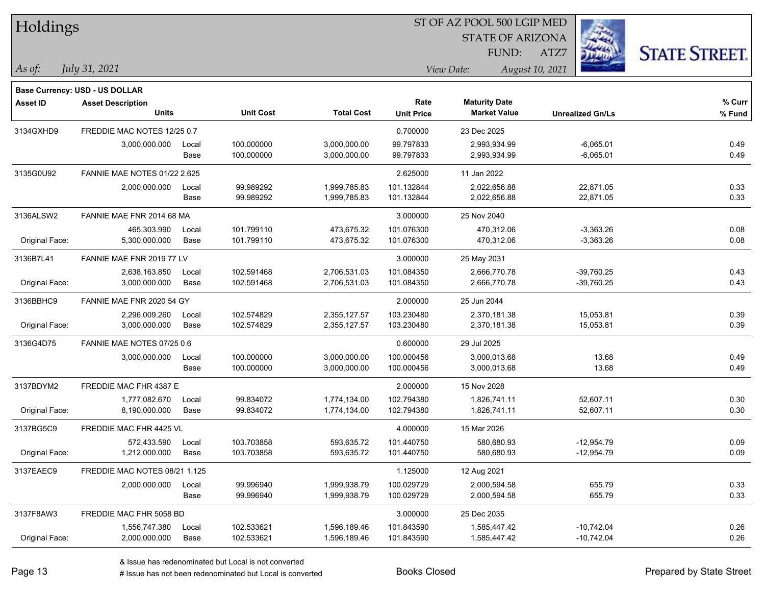| Holdings        |                                          |               |                          |                              |                           | ST OF AZ POOL 500 LGIP MED                  |                              |                      |
|-----------------|------------------------------------------|---------------|--------------------------|------------------------------|---------------------------|---------------------------------------------|------------------------------|----------------------|
|                 |                                          |               |                          |                              |                           | <b>STATE OF ARIZONA</b>                     |                              |                      |
|                 |                                          |               |                          |                              |                           | FUND:                                       | ATZ7                         | <b>STATE STREET.</b> |
| $\vert$ As of:  | July 31, 2021                            |               |                          |                              |                           | View Date:                                  | August 10, 2021              |                      |
|                 |                                          |               |                          |                              |                           |                                             |                              |                      |
|                 | <b>Base Currency: USD - US DOLLAR</b>    |               |                          |                              |                           |                                             |                              |                      |
| <b>Asset ID</b> | <b>Asset Description</b><br><b>Units</b> |               | <b>Unit Cost</b>         | <b>Total Cost</b>            | Rate<br><b>Unit Price</b> | <b>Maturity Date</b><br><b>Market Value</b> | <b>Unrealized Gn/Ls</b>      | % Curr<br>% Fund     |
|                 |                                          |               |                          |                              |                           |                                             |                              |                      |
| 3134GXHD9       | FREDDIE MAC NOTES 12/25 0.7              |               |                          |                              | 0.700000                  | 23 Dec 2025                                 |                              |                      |
|                 | 3,000,000.000                            | Local<br>Base | 100.000000<br>100.000000 | 3,000,000.00<br>3,000,000.00 | 99.797833<br>99.797833    | 2,993,934.99<br>2,993,934.99                | $-6,065.01$<br>$-6,065.01$   | 0.49<br>0.49         |
|                 |                                          |               |                          |                              |                           |                                             |                              |                      |
| 3135G0U92       | FANNIE MAE NOTES 01/22 2.625             |               |                          |                              | 2.625000                  | 11 Jan 2022                                 |                              |                      |
|                 | 2,000,000.000                            | Local<br>Base | 99.989292<br>99.989292   | 1,999,785.83<br>1,999,785.83 | 101.132844<br>101.132844  | 2,022,656.88<br>2,022,656.88                | 22,871.05<br>22,871.05       | 0.33<br>0.33         |
|                 |                                          |               |                          |                              |                           |                                             |                              |                      |
| 3136ALSW2       | FANNIE MAE FNR 2014 68 MA                |               |                          |                              | 3.000000                  | 25 Nov 2040                                 |                              |                      |
| Original Face:  | 465,303.990<br>5,300,000.000             | Local<br>Base | 101.799110<br>101.799110 | 473,675.32<br>473,675.32     | 101.076300<br>101.076300  | 470,312.06<br>470,312.06                    | $-3,363.26$<br>$-3,363.26$   | 0.08<br>0.08         |
|                 |                                          |               |                          |                              |                           |                                             |                              |                      |
| 3136B7L41       | FANNIE MAE FNR 2019 77 LV                |               |                          |                              | 3.000000                  | 25 May 2031                                 |                              |                      |
| Original Face:  | 2,638,163.850<br>3,000,000.000           | Local<br>Base | 102.591468<br>102.591468 | 2,706,531.03<br>2,706,531.03 | 101.084350<br>101.084350  | 2,666,770.78<br>2,666,770.78                | $-39,760.25$<br>$-39,760.25$ | 0.43<br>0.43         |
|                 |                                          |               |                          |                              |                           |                                             |                              |                      |
| 3136BBHC9       | FANNIE MAE FNR 2020 54 GY                |               |                          |                              | 2.000000                  | 25 Jun 2044                                 |                              |                      |
| Original Face:  | 2,296,009.260<br>3,000,000.000           | Local<br>Base | 102.574829<br>102.574829 | 2,355,127.57<br>2,355,127.57 | 103.230480<br>103.230480  | 2,370,181.38<br>2,370,181.38                | 15,053.81<br>15,053.81       | 0.39<br>0.39         |
|                 |                                          |               |                          |                              |                           |                                             |                              |                      |
| 3136G4D75       | FANNIE MAE NOTES 07/25 0.6               |               |                          |                              | 0.600000                  | 29 Jul 2025                                 |                              |                      |
|                 | 3,000,000.000                            | Local<br>Base | 100.000000<br>100.000000 | 3,000,000.00<br>3,000,000.00 | 100.000456<br>100.000456  | 3,000,013.68<br>3,000,013.68                | 13.68<br>13.68               | 0.49<br>0.49         |
|                 |                                          |               |                          |                              |                           |                                             |                              |                      |
| 3137BDYM2       | FREDDIE MAC FHR 4387 E                   |               |                          |                              | 2.000000                  | 15 Nov 2028                                 |                              |                      |
| Original Face:  | 1,777,082.670<br>8,190,000.000           | Local<br>Base | 99.834072<br>99.834072   | 1,774,134.00<br>1,774,134.00 | 102.794380<br>102.794380  | 1,826,741.11<br>1,826,741.11                | 52,607.11<br>52,607.11       | 0.30<br>0.30         |
|                 |                                          |               |                          |                              |                           |                                             |                              |                      |
| 3137BG5C9       | FREDDIE MAC FHR 4425 VL                  |               |                          |                              | 4.000000                  | 15 Mar 2026                                 |                              |                      |
|                 | 572,433.590                              | Local         | 103.703858               | 593,635.72                   | 101.440750                | 580,680.93                                  | $-12.954.79$                 | 0.09                 |
| Original Face:  | 1,212,000.000                            | Base          | 103.703858               | 593,635.72                   | 101.440750                | 580,680.93                                  | $-12,954.79$                 | 0.09                 |
| 3137EAEC9       | FREDDIE MAC NOTES 08/21 1.125            |               |                          |                              | 1.125000                  | 12 Aug 2021                                 |                              |                      |
|                 | 2,000,000.000                            | Local         | 99.996940                | 1,999,938.79                 | 100.029729                | 2,000,594.58                                | 655.79                       | 0.33                 |
|                 |                                          | Base          | 99.996940                | 1,999,938.79                 | 100.029729                | 2,000,594.58                                | 655.79                       | 0.33                 |
| 3137F8AW3       | FREDDIE MAC FHR 5058 BD                  |               |                          |                              | 3.000000                  | 25 Dec 2035                                 |                              |                      |
|                 | 1,556,747.380                            | Local         | 102.533621               | 1,596,189.46                 | 101.843590                | 1,585,447.42                                | $-10,742.04$                 | 0.26                 |
| Original Face:  | 2,000,000.000                            | Base          | 102.533621               | 1,596,189.46                 | 101.843590                | 1,585,447.42                                | $-10,742.04$                 | 0.26                 |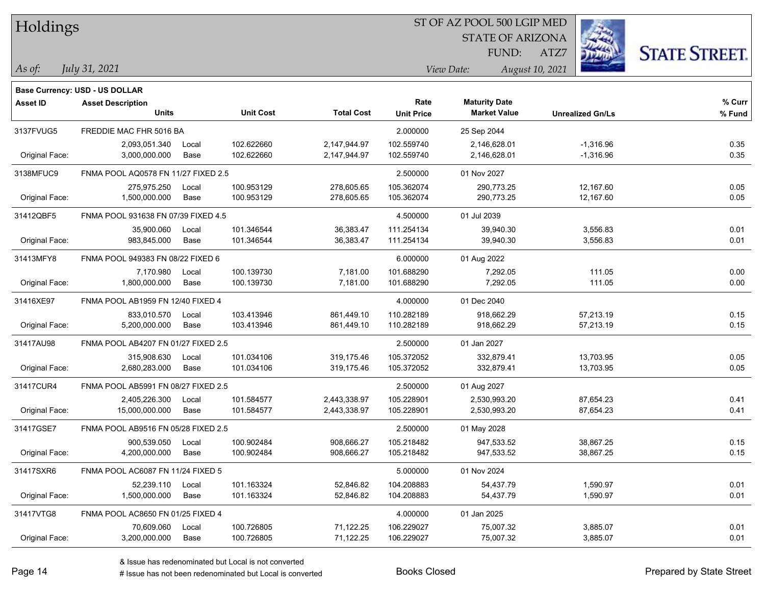| Holdings        |                                       |       |                  |                   | ST OF AZ POOL 500 LGIP MED |                         |                         |                      |  |  |
|-----------------|---------------------------------------|-------|------------------|-------------------|----------------------------|-------------------------|-------------------------|----------------------|--|--|
|                 |                                       |       |                  |                   |                            | <b>STATE OF ARIZONA</b> |                         |                      |  |  |
|                 |                                       |       |                  |                   |                            | FUND:                   | ATZ7                    | <b>STATE STREET.</b> |  |  |
| As of:          | July 31, 2021                         |       |                  |                   |                            | View Date:              | August 10, 2021         |                      |  |  |
|                 | <b>Base Currency: USD - US DOLLAR</b> |       |                  |                   |                            |                         |                         |                      |  |  |
| <b>Asset ID</b> | <b>Asset Description</b>              |       |                  |                   | Rate                       | <b>Maturity Date</b>    |                         | % Curr               |  |  |
|                 | Units                                 |       | <b>Unit Cost</b> | <b>Total Cost</b> | <b>Unit Price</b>          | <b>Market Value</b>     | <b>Unrealized Gn/Ls</b> | % Fund               |  |  |
| 3137FVUG5       | FREDDIE MAC FHR 5016 BA               |       |                  |                   | 2.000000                   | 25 Sep 2044             |                         |                      |  |  |
|                 | 2,093,051.340                         | Local | 102.622660       | 2,147,944.97      | 102.559740                 | 2,146,628.01            | $-1,316.96$             | 0.35                 |  |  |
| Original Face:  | 3,000,000.000                         | Base  | 102.622660       | 2,147,944.97      | 102.559740                 | 2,146,628.01            | $-1,316.96$             | 0.35                 |  |  |
| 3138MFUC9       | FNMA POOL AQ0578 FN 11/27 FIXED 2.5   |       |                  |                   | 2.500000                   | 01 Nov 2027             |                         |                      |  |  |
|                 | 275,975.250                           | Local | 100.953129       | 278,605.65        | 105.362074                 | 290,773.25              | 12,167.60               | 0.05                 |  |  |
| Original Face:  | 1,500,000.000                         | Base  | 100.953129       | 278,605.65        | 105.362074                 | 290,773.25              | 12,167.60               | 0.05                 |  |  |
| 31412QBF5       | FNMA POOL 931638 FN 07/39 FIXED 4.5   |       |                  |                   | 4.500000                   | 01 Jul 2039             |                         |                      |  |  |
|                 | 35,900.060                            | Local | 101.346544       | 36,383.47         | 111.254134                 | 39,940.30               | 3,556.83                | 0.01                 |  |  |
| Original Face:  | 983,845.000                           | Base  | 101.346544       | 36,383.47         | 111.254134                 | 39,940.30               | 3,556.83                | 0.01                 |  |  |
| 31413MFY8       | FNMA POOL 949383 FN 08/22 FIXED 6     |       |                  |                   | 6.000000                   | 01 Aug 2022             |                         |                      |  |  |
|                 | 7,170.980                             | Local | 100.139730       | 7,181.00          | 101.688290                 | 7,292.05                | 111.05                  | 0.00                 |  |  |
| Original Face:  | 1,800,000.000                         | Base  | 100.139730       | 7,181.00          | 101.688290                 | 7,292.05                | 111.05                  | 0.00                 |  |  |
| 31416XE97       | FNMA POOL AB1959 FN 12/40 FIXED 4     |       |                  |                   | 4.000000                   | 01 Dec 2040             |                         |                      |  |  |
|                 | 833,010.570                           | Local | 103.413946       | 861,449.10        | 110.282189                 | 918,662.29              | 57,213.19               | 0.15                 |  |  |
| Original Face:  | 5,200,000.000                         | Base  | 103.413946       | 861,449.10        | 110.282189                 | 918,662.29              | 57,213.19               | 0.15                 |  |  |
| 31417AU98       | FNMA POOL AB4207 FN 01/27 FIXED 2.5   |       |                  |                   | 2.500000                   | 01 Jan 2027             |                         |                      |  |  |
|                 | 315,908.630                           | Local | 101.034106       | 319,175.46        | 105.372052                 | 332,879.41              | 13,703.95               | 0.05                 |  |  |
| Original Face:  | 2,680,283.000                         | Base  | 101.034106       | 319,175.46        | 105.372052                 | 332,879.41              | 13,703.95               | 0.05                 |  |  |
| 31417CUR4       | FNMA POOL AB5991 FN 08/27 FIXED 2.5   |       |                  |                   | 2.500000                   | 01 Aug 2027             |                         |                      |  |  |
|                 | 2,405,226.300                         | Local | 101.584577       | 2,443,338.97      | 105.228901                 | 2,530,993.20            | 87,654.23               | 0.41                 |  |  |
| Original Face:  | 15,000,000.000                        | Base  | 101.584577       | 2,443,338.97      | 105.228901                 | 2,530,993.20            | 87,654.23               | 0.41                 |  |  |
| 31417GSE7       | FNMA POOL AB9516 FN 05/28 FIXED 2.5   |       |                  |                   | 2.500000                   | 01 May 2028             |                         |                      |  |  |
|                 | 900,539.050                           | Local | 100.902484       | 908,666.27        | 105.218482                 | 947,533.52              | 38,867.25               | 0.15                 |  |  |
| Original Face:  | 4,200,000.000                         | Base  | 100.902484       | 908,666.27        | 105.218482                 | 947,533.52              | 38,867.25               | 0.15                 |  |  |
| 31417SXR6       | FNMA POOL AC6087 FN 11/24 FIXED 5     |       |                  |                   | 5.000000                   | 01 Nov 2024             |                         |                      |  |  |
|                 | 52,239.110                            | Local | 101.163324       | 52,846.82         | 104.208883                 | 54,437.79               | 1,590.97                | 0.01                 |  |  |
| Original Face:  | 1,500,000.000                         | Base  | 101.163324       | 52,846.82         | 104.208883                 | 54,437.79               | 1,590.97                | 0.01                 |  |  |
| 31417VTG8       | FNMA POOL AC8650 FN 01/25 FIXED 4     |       |                  |                   | 4.000000                   | 01 Jan 2025             |                         |                      |  |  |
|                 | 70,609.060                            | Local | 100.726805       | 71,122.25         | 106.229027                 | 75,007.32               | 3,885.07                | 0.01                 |  |  |
| Original Face:  | 3,200,000.000                         | Base  | 100.726805       | 71,122.25         | 106.229027                 | 75,007.32               | 3,885.07                | 0.01                 |  |  |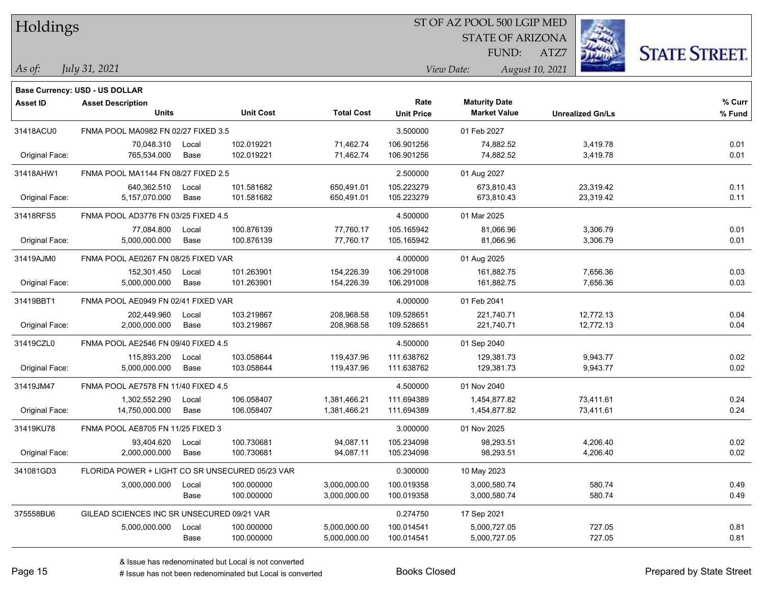### ST OF AZ POOL 500 LGIP MED

STATE OF ARIZONA FUND:

ATZ7



*As of: View Date: August 10, 2021*

| As of: | July 31, 2021 |
|--------|---------------|
|        |               |

|                 | <b>Base Currency: USD - US DOLLAR</b>           |       |                  |                   |                   |                      |                         |        |
|-----------------|-------------------------------------------------|-------|------------------|-------------------|-------------------|----------------------|-------------------------|--------|
| <b>Asset ID</b> | <b>Asset Description</b>                        |       |                  |                   | Rate              | <b>Maturity Date</b> |                         | % Curr |
|                 | <b>Units</b>                                    |       | <b>Unit Cost</b> | <b>Total Cost</b> | <b>Unit Price</b> | <b>Market Value</b>  | <b>Unrealized Gn/Ls</b> | % Fund |
| 31418ACU0       | FNMA POOL MA0982 FN 02/27 FIXED 3.5             |       |                  |                   | 3.500000          | 01 Feb 2027          |                         |        |
|                 | 70,048.310                                      | Local | 102.019221       | 71,462.74         | 106.901256        | 74,882.52            | 3,419.78                | 0.01   |
| Original Face:  | 765,534.000                                     | Base  | 102.019221       | 71,462.74         | 106.901256        | 74,882.52            | 3,419.78                | 0.01   |
| 31418AHW1       | FNMA POOL MA1144 FN 08/27 FIXED 2.5             |       |                  |                   | 2.500000          | 01 Aug 2027          |                         |        |
|                 | 640,362.510                                     | Local | 101.581682       | 650,491.01        | 105.223279        | 673,810.43           | 23,319.42               | 0.11   |
| Original Face:  | 5,157,070.000                                   | Base  | 101.581682       | 650,491.01        | 105.223279        | 673,810.43           | 23,319.42               | 0.11   |
| 31418RFS5       | FNMA POOL AD3776 FN 03/25 FIXED 4.5             |       |                  |                   | 4.500000          | 01 Mar 2025          |                         |        |
|                 | 77,084.800                                      | Local | 100.876139       | 77,760.17         | 105.165942        | 81,066.96            | 3,306.79                | 0.01   |
| Original Face:  | 5,000,000.000                                   | Base  | 100.876139       | 77,760.17         | 105.165942        | 81,066.96            | 3,306.79                | 0.01   |
| 31419AJM0       | FNMA POOL AE0267 FN 08/25 FIXED VAR             |       |                  |                   | 4.000000          | 01 Aug 2025          |                         |        |
|                 | 152,301.450                                     | Local | 101.263901       | 154,226.39        | 106.291008        | 161,882.75           | 7,656.36                | 0.03   |
| Original Face:  | 5,000,000.000                                   | Base  | 101.263901       | 154,226.39        | 106.291008        | 161,882.75           | 7,656.36                | 0.03   |
| 31419BBT1       | FNMA POOL AE0949 FN 02/41 FIXED VAR             |       |                  |                   | 4.000000          | 01 Feb 2041          |                         |        |
|                 | 202,449.960                                     | Local | 103.219867       | 208,968.58        | 109.528651        | 221,740.71           | 12,772.13               | 0.04   |
| Original Face:  | 2,000,000.000                                   | Base  | 103.219867       | 208,968.58        | 109.528651        | 221,740.71           | 12,772.13               | 0.04   |
| 31419CZL0       | FNMA POOL AE2546 FN 09/40 FIXED 4.5             |       |                  |                   | 4.500000          | 01 Sep 2040          |                         |        |
|                 | 115,893.200                                     | Local | 103.058644       | 119,437.96        | 111.638762        | 129,381.73           | 9,943.77                | 0.02   |
| Original Face:  | 5,000,000.000                                   | Base  | 103.058644       | 119,437.96        | 111.638762        | 129,381.73           | 9,943.77                | 0.02   |
| 31419JM47       | FNMA POOL AE7578 FN 11/40 FIXED 4.5             |       |                  |                   | 4.500000          | 01 Nov 2040          |                         |        |
|                 | 1,302,552.290                                   | Local | 106.058407       | 1,381,466.21      | 111.694389        | 1,454,877.82         | 73,411.61               | 0.24   |
| Original Face:  | 14,750,000.000                                  | Base  | 106.058407       | 1,381,466.21      | 111.694389        | 1,454,877.82         | 73,411.61               | 0.24   |
| 31419KU78       | FNMA POOL AE8705 FN 11/25 FIXED 3               |       |                  |                   | 3.000000          | 01 Nov 2025          |                         |        |
|                 | 93,404.620                                      | Local | 100.730681       | 94,087.11         | 105.234098        | 98,293.51            | 4,206.40                | 0.02   |
| Original Face:  | 2,000,000.000                                   | Base  | 100.730681       | 94,087.11         | 105.234098        | 98,293.51            | 4,206.40                | 0.02   |
| 341081GD3       | FLORIDA POWER + LIGHT CO SR UNSECURED 05/23 VAR |       |                  |                   | 0.300000          | 10 May 2023          |                         |        |
|                 | 3,000,000.000                                   | Local | 100.000000       | 3,000,000.00      | 100.019358        | 3,000,580.74         | 580.74                  | 0.49   |
|                 |                                                 | Base  | 100.000000       | 3,000,000.00      | 100.019358        | 3,000,580.74         | 580.74                  | 0.49   |
| 375558BU6       | GILEAD SCIENCES INC SR UNSECURED 09/21 VAR      |       |                  |                   | 0.274750          | 17 Sep 2021          |                         |        |
|                 | 5,000,000.000                                   | Local | 100.000000       | 5,000,000.00      | 100.014541        | 5,000,727.05         | 727.05                  | 0.81   |
|                 |                                                 | Base  | 100.000000       | 5,000,000.00      | 100.014541        | 5,000,727.05         | 727.05                  | 0.81   |
|                 |                                                 |       |                  |                   |                   |                      |                         |        |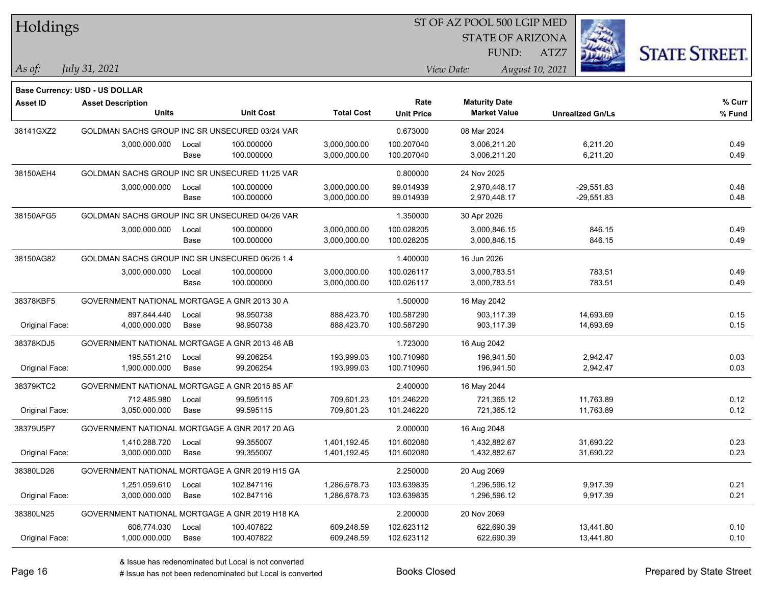| Holdings        |                                                |               |                          |                              | ST OF AZ POOL 500 LGIP MED |                                             |                              |                      |
|-----------------|------------------------------------------------|---------------|--------------------------|------------------------------|----------------------------|---------------------------------------------|------------------------------|----------------------|
|                 |                                                |               |                          |                              |                            | <b>STATE OF ARIZONA</b>                     |                              |                      |
|                 |                                                |               |                          |                              |                            | FUND:                                       | ATZ7                         | <b>STATE STREET.</b> |
| $\vert$ As of:  | July 31, 2021                                  |               |                          |                              |                            | View Date:                                  | August 10, 2021              |                      |
|                 |                                                |               |                          |                              |                            |                                             |                              |                      |
|                 | Base Currency: USD - US DOLLAR                 |               |                          |                              |                            |                                             |                              |                      |
| <b>Asset ID</b> | <b>Asset Description</b><br>Units              |               | <b>Unit Cost</b>         | <b>Total Cost</b>            | Rate<br><b>Unit Price</b>  | <b>Maturity Date</b><br><b>Market Value</b> | <b>Unrealized Gn/Ls</b>      | % Curr<br>% Fund     |
|                 | GOLDMAN SACHS GROUP INC SR UNSECURED 03/24 VAR |               |                          |                              |                            | 08 Mar 2024                                 |                              |                      |
| 38141GXZ2       |                                                |               | 100.000000               | 3,000,000.00                 | 0.673000<br>100.207040     | 3,006,211.20                                | 6,211.20                     | 0.49                 |
|                 | 3,000,000.000                                  | Local<br>Base | 100.000000               | 3,000,000.00                 | 100.207040                 | 3,006,211.20                                | 6,211.20                     | 0.49                 |
|                 | GOLDMAN SACHS GROUP INC SR UNSECURED 11/25 VAR |               |                          |                              |                            |                                             |                              |                      |
| 38150AEH4       |                                                |               |                          |                              | 0.800000                   | 24 Nov 2025                                 |                              |                      |
|                 | 3,000,000.000                                  | Local<br>Base | 100.000000<br>100.000000 | 3,000,000.00<br>3,000,000.00 | 99.014939<br>99.014939     | 2,970,448.17<br>2,970,448.17                | $-29,551.83$<br>$-29,551.83$ | 0.48<br>0.48         |
| 38150AFG5       | GOLDMAN SACHS GROUP INC SR UNSECURED 04/26 VAR |               |                          |                              | 1.350000                   |                                             |                              |                      |
|                 | 3,000,000.000                                  |               | 100.000000               |                              | 100.028205                 | 30 Apr 2026                                 | 846.15                       | 0.49                 |
|                 |                                                | Local<br>Base | 100.000000               | 3,000,000.00<br>3,000,000.00 | 100.028205                 | 3,000,846.15<br>3,000,846.15                | 846.15                       | 0.49                 |
| 38150AG82       | GOLDMAN SACHS GROUP INC SR UNSECURED 06/26 1.4 |               |                          |                              | 1.400000                   | 16 Jun 2026                                 |                              |                      |
|                 | 3,000,000.000                                  | Local         | 100.000000               | 3,000,000.00                 | 100.026117                 | 3,000,783.51                                | 783.51                       | 0.49                 |
|                 |                                                | Base          | 100.000000               | 3,000,000.00                 | 100.026117                 | 3,000,783.51                                | 783.51                       | 0.49                 |
| 38378KBF5       | GOVERNMENT NATIONAL MORTGAGE A GNR 2013 30 A   |               |                          |                              | 1.500000                   | 16 May 2042                                 |                              |                      |
|                 | 897,844.440                                    | Local         | 98.950738                | 888,423.70                   | 100.587290                 | 903,117.39                                  | 14,693.69                    | 0.15                 |
| Original Face:  | 4,000,000.000                                  | Base          | 98.950738                | 888,423.70                   | 100.587290                 | 903,117.39                                  | 14,693.69                    | 0.15                 |
| 38378KDJ5       | GOVERNMENT NATIONAL MORTGAGE A GNR 2013 46 AB  |               |                          |                              | 1.723000                   | 16 Aug 2042                                 |                              |                      |
|                 | 195,551.210                                    | Local         | 99.206254                | 193,999.03                   | 100.710960                 | 196,941.50                                  | 2,942.47                     | 0.03                 |
| Original Face:  | 1,900,000.000                                  | Base          | 99.206254                | 193,999.03                   | 100.710960                 | 196,941.50                                  | 2,942.47                     | 0.03                 |
| 38379KTC2       | GOVERNMENT NATIONAL MORTGAGE A GNR 2015 85 AF  |               |                          |                              | 2.400000                   | 16 May 2044                                 |                              |                      |
|                 | 712,485.980                                    | Local         | 99.595115                | 709,601.23                   | 101.246220                 | 721,365.12                                  | 11,763.89                    | 0.12                 |
| Original Face:  | 3,050,000.000                                  | Base          | 99.595115                | 709,601.23                   | 101.246220                 | 721,365.12                                  | 11,763.89                    | 0.12                 |
| 38379U5P7       | GOVERNMENT NATIONAL MORTGAGE A GNR 2017 20 AG  |               |                          |                              | 2.000000                   | 16 Aug 2048                                 |                              |                      |
|                 | 1,410,288.720                                  | Local         | 99.355007                | 1,401,192.45                 | 101.602080                 | 1.432.882.67                                | 31,690.22                    | 0.23                 |
| Original Face:  | 3,000,000.000                                  | Base          | 99.355007                | 1,401,192.45                 | 101.602080                 | 1,432,882.67                                | 31,690.22                    | 0.23                 |
| 38380LD26       | GOVERNMENT NATIONAL MORTGAGE A GNR 2019 H15 GA |               |                          |                              | 2.250000                   | 20 Aug 2069                                 |                              |                      |
|                 | 1,251,059.610                                  | Local         | 102.847116               | 1,286,678.73                 | 103.639835                 | 1,296,596.12                                | 9,917.39                     | 0.21                 |
| Original Face:  | 3,000,000.000                                  | Base          | 102.847116               | 1,286,678.73                 | 103.639835                 | 1,296,596.12                                | 9,917.39                     | 0.21                 |
| 38380LN25       | GOVERNMENT NATIONAL MORTGAGE A GNR 2019 H18 KA |               |                          |                              | 2.200000                   | 20 Nov 2069                                 |                              |                      |
|                 | 606,774.030                                    | Local         | 100.407822               | 609,248.59                   | 102.623112                 | 622,690.39                                  | 13,441.80                    | 0.10                 |
| Original Face:  | 1,000,000.000                                  | Base          | 100.407822               | 609,248.59                   | 102.623112                 | 622,690.39                                  | 13,441.80                    | 0.10                 |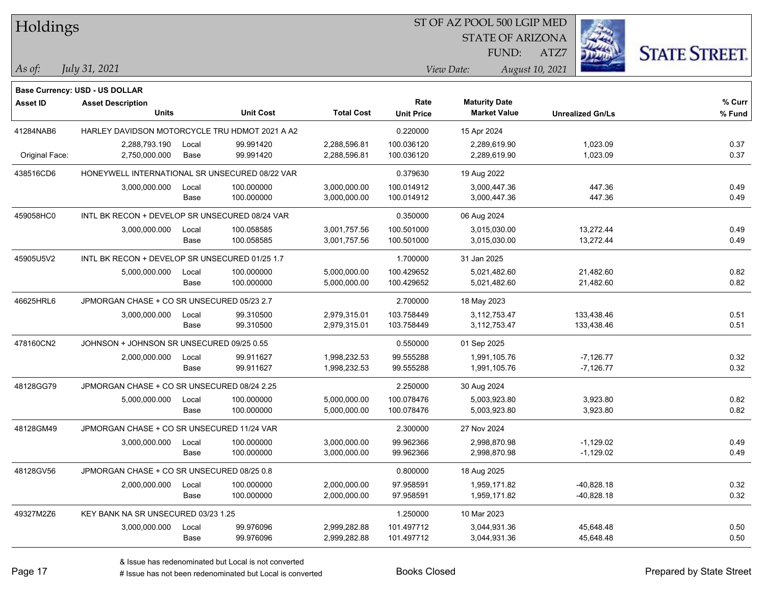| Holdings        |                                                |       |                  |                   | ST OF AZ POOL 500 LGIP MED |                         |                         |                      |
|-----------------|------------------------------------------------|-------|------------------|-------------------|----------------------------|-------------------------|-------------------------|----------------------|
|                 |                                                |       |                  |                   |                            | <b>STATE OF ARIZONA</b> |                         |                      |
|                 |                                                |       |                  |                   |                            | FUND:                   | ATZ7                    | <b>STATE STREET.</b> |
| As of:          | July 31, 2021                                  |       |                  |                   |                            | View Date:              | August 10, 2021         |                      |
|                 |                                                |       |                  |                   |                            |                         |                         |                      |
|                 | Base Currency: USD - US DOLLAR                 |       |                  |                   | Rate                       | <b>Maturity Date</b>    |                         | % Curr               |
| <b>Asset ID</b> | <b>Asset Description</b><br><b>Units</b>       |       | <b>Unit Cost</b> | <b>Total Cost</b> | <b>Unit Price</b>          | <b>Market Value</b>     | <b>Unrealized Gn/Ls</b> | % Fund               |
| 41284NAB6       | HARLEY DAVIDSON MOTORCYCLE TRU HDMOT 2021 A A2 |       |                  |                   | 0.220000                   | 15 Apr 2024             |                         |                      |
|                 | 2,288,793.190                                  | Local | 99.991420        | 2,288,596.81      | 100.036120                 | 2,289,619.90            | 1,023.09                | 0.37                 |
| Original Face:  | 2,750,000.000                                  | Base  | 99.991420        | 2,288,596.81      | 100.036120                 | 2,289,619.90            | 1,023.09                | 0.37                 |
| 438516CD6       | HONEYWELL INTERNATIONAL SR UNSECURED 08/22 VAR |       |                  |                   | 0.379630                   | 19 Aug 2022             |                         |                      |
|                 | 3,000,000.000                                  | Local | 100.000000       | 3,000,000.00      | 100.014912                 | 3,000,447.36            | 447.36                  | 0.49                 |
|                 |                                                | Base  | 100.000000       | 3,000,000.00      | 100.014912                 | 3,000,447.36            | 447.36                  | 0.49                 |
| 459058HC0       | INTL BK RECON + DEVELOP SR UNSECURED 08/24 VAR |       |                  |                   | 0.350000                   | 06 Aug 2024             |                         |                      |
|                 | 3,000,000.000                                  | Local | 100.058585       | 3,001,757.56      | 100.501000                 | 3,015,030.00            | 13,272.44               | 0.49                 |
|                 |                                                | Base  | 100.058585       | 3,001,757.56      | 100.501000                 | 3,015,030.00            | 13,272.44               | 0.49                 |
| 45905U5V2       | INTL BK RECON + DEVELOP SR UNSECURED 01/25 1.7 |       |                  |                   | 1.700000                   | 31 Jan 2025             |                         |                      |
|                 | 5,000,000.000                                  | Local | 100.000000       | 5,000,000.00      | 100.429652                 | 5,021,482.60            | 21,482.60               | 0.82                 |
|                 |                                                | Base  | 100.000000       | 5,000,000.00      | 100.429652                 | 5,021,482.60            | 21,482.60               | 0.82                 |
| 46625HRL6       | JPMORGAN CHASE + CO SR UNSECURED 05/23 2.7     |       |                  |                   | 2.700000                   | 18 May 2023             |                         |                      |
|                 | 3,000,000.000                                  | Local | 99.310500        | 2,979,315.01      | 103.758449                 | 3,112,753.47            | 133,438.46              | 0.51                 |
|                 |                                                | Base  | 99.310500        | 2,979,315.01      | 103.758449                 | 3,112,753.47            | 133,438.46              | 0.51                 |
| 478160CN2       | JOHNSON + JOHNSON SR UNSECURED 09/25 0.55      |       |                  |                   | 0.550000                   | 01 Sep 2025             |                         |                      |
|                 | 2,000,000.000                                  | Local | 99.911627        | 1,998,232.53      | 99.555288                  | 1,991,105.76            | $-7,126.77$             | 0.32                 |
|                 |                                                | Base  | 99.911627        | 1,998,232.53      | 99.555288                  | 1,991,105.76            | $-7,126.77$             | 0.32                 |
| 48128GG79       | JPMORGAN CHASE + CO SR UNSECURED 08/24 2.25    |       |                  |                   | 2.250000                   | 30 Aug 2024             |                         |                      |
|                 | 5,000,000.000                                  | Local | 100.000000       | 5,000,000.00      | 100.078476                 | 5,003,923.80            | 3,923.80                | 0.82                 |
|                 |                                                | Base  | 100.000000       | 5,000,000.00      | 100.078476                 | 5,003,923.80            | 3,923.80                | 0.82                 |
| 48128GM49       | JPMORGAN CHASE + CO SR UNSECURED 11/24 VAR     |       |                  |                   | 2.300000                   | 27 Nov 2024             |                         |                      |
|                 | 3,000,000.000                                  | Local | 100.000000       | 3,000,000.00      | 99.962366                  | 2,998,870.98            | $-1,129.02$             | 0.49                 |
|                 |                                                | Base  | 100.000000       | 3,000,000.00      | 99.962366                  | 2,998,870.98            | $-1,129.02$             | 0.49                 |
| 48128GV56       | JPMORGAN CHASE + CO SR UNSECURED 08/25 0.8     |       |                  |                   | 0.800000                   | 18 Aug 2025             |                         |                      |
|                 | 2,000,000.000                                  | Local | 100.000000       | 2,000,000.00      | 97.958591                  | 1,959,171.82            | $-40,828.18$            | 0.32                 |
|                 |                                                | Base  | 100.000000       | 2,000,000.00      | 97.958591                  | 1,959,171.82            | $-40,828.18$            | 0.32                 |
| 49327M2Z6       | KEY BANK NA SR UNSECURED 03/23 1.25            |       |                  |                   | 1.250000                   | 10 Mar 2023             |                         |                      |
|                 | 3,000,000.000                                  | Local | 99.976096        | 2,999,282.88      | 101.497712                 | 3,044,931.36            | 45,648.48               | 0.50                 |
|                 |                                                | Base  | 99.976096        | 2,999,282.88      | 101.497712                 | 3,044,931.36            | 45,648.48               | 0.50                 |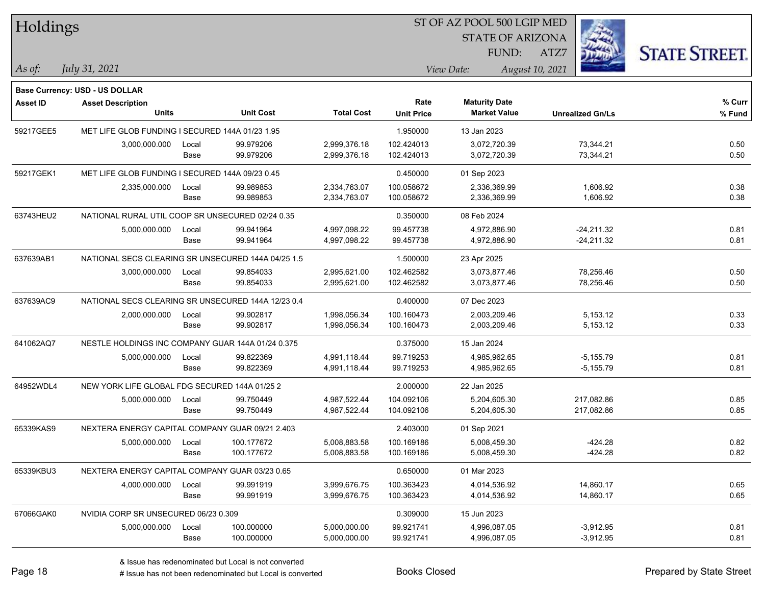| Holdings        |                                                    |       |                  |                   | ST OF AZ POOL 500 LGIP MED |                         |                         |                      |
|-----------------|----------------------------------------------------|-------|------------------|-------------------|----------------------------|-------------------------|-------------------------|----------------------|
|                 |                                                    |       |                  |                   |                            | <b>STATE OF ARIZONA</b> |                         |                      |
|                 |                                                    |       |                  |                   |                            | FUND:                   | ATZ7                    | <b>STATE STREET.</b> |
| As of:          | July 31, 2021                                      |       |                  |                   |                            | View Date:              | August 10, 2021         |                      |
|                 | <b>Base Currency: USD - US DOLLAR</b>              |       |                  |                   |                            |                         |                         |                      |
| <b>Asset ID</b> | <b>Asset Description</b>                           |       |                  |                   | Rate                       | <b>Maturity Date</b>    |                         | % Curr               |
|                 | <b>Units</b>                                       |       | <b>Unit Cost</b> | <b>Total Cost</b> | <b>Unit Price</b>          | <b>Market Value</b>     | <b>Unrealized Gn/Ls</b> | % Fund               |
| 59217GEE5       | MET LIFE GLOB FUNDING I SECURED 144A 01/23 1.95    |       |                  |                   | 1.950000                   | 13 Jan 2023             |                         |                      |
|                 | 3,000,000.000                                      | Local | 99.979206        | 2,999,376.18      | 102.424013                 | 3,072,720.39            | 73,344.21               | 0.50                 |
|                 |                                                    | Base  | 99.979206        | 2,999,376.18      | 102.424013                 | 3,072,720.39            | 73,344.21               | 0.50                 |
| 59217GEK1       | MET LIFE GLOB FUNDING I SECURED 144A 09/23 0.45    |       |                  |                   | 0.450000                   | 01 Sep 2023             |                         |                      |
|                 | 2,335,000.000                                      | Local | 99.989853        | 2,334,763.07      | 100.058672                 | 2,336,369.99            | 1,606.92                | 0.38                 |
|                 |                                                    | Base  | 99.989853        | 2,334,763.07      | 100.058672                 | 2,336,369.99            | 1,606.92                | 0.38                 |
| 63743HEU2       | NATIONAL RURAL UTIL COOP SR UNSECURED 02/24 0.35   |       |                  |                   | 0.350000                   | 08 Feb 2024             |                         |                      |
|                 | 5,000,000.000                                      | Local | 99.941964        | 4,997,098.22      | 99.457738                  | 4,972,886.90            | $-24,211.32$            | 0.81                 |
|                 |                                                    | Base  | 99.941964        | 4,997,098.22      | 99.457738                  | 4,972,886.90            | $-24,211.32$            | 0.81                 |
| 637639AB1       | NATIONAL SECS CLEARING SR UNSECURED 144A 04/25 1.5 |       |                  |                   | 1.500000                   | 23 Apr 2025             |                         |                      |
|                 | 3,000,000.000                                      | Local | 99.854033        | 2,995,621.00      | 102.462582                 | 3,073,877.46            | 78,256.46               | 0.50                 |
|                 |                                                    | Base  | 99.854033        | 2,995,621.00      | 102.462582                 | 3,073,877.46            | 78,256.46               | 0.50                 |
| 637639AC9       | NATIONAL SECS CLEARING SR UNSECURED 144A 12/23 0.4 |       |                  |                   | 0.400000                   | 07 Dec 2023             |                         |                      |
|                 | 2,000,000.000                                      | Local | 99.902817        | 1,998,056.34      | 100.160473                 | 2,003,209.46            | 5,153.12                | 0.33                 |
|                 |                                                    | Base  | 99.902817        | 1,998,056.34      | 100.160473                 | 2,003,209.46            | 5,153.12                | 0.33                 |
| 641062AQ7       | NESTLE HOLDINGS INC COMPANY GUAR 144A 01/24 0.375  |       |                  |                   | 0.375000                   | 15 Jan 2024             |                         |                      |
|                 | 5,000,000.000                                      | Local | 99.822369        | 4,991,118.44      | 99.719253                  | 4,985,962.65            | $-5,155.79$             | 0.81                 |
|                 |                                                    | Base  | 99.822369        | 4,991,118.44      | 99.719253                  | 4,985,962.65            | $-5, 155.79$            | 0.81                 |
| 64952WDL4       | NEW YORK LIFE GLOBAL FDG SECURED 144A 01/25 2      |       |                  |                   | 2.000000                   | 22 Jan 2025             |                         |                      |
|                 | 5,000,000.000                                      | Local | 99.750449        | 4,987,522.44      | 104.092106                 | 5,204,605.30            | 217,082.86              | 0.85                 |
|                 |                                                    | Base  | 99.750449        | 4,987,522.44      | 104.092106                 | 5,204,605.30            | 217,082.86              | 0.85                 |
| 65339KAS9       | NEXTERA ENERGY CAPITAL COMPANY GUAR 09/21 2.403    |       |                  |                   | 2.403000                   | 01 Sep 2021             |                         |                      |
|                 | 5,000,000.000                                      | Local | 100.177672       | 5,008,883.58      | 100.169186                 | 5.008.459.30            | -424.28                 | 0.82                 |
|                 |                                                    | Base  | 100.177672       | 5,008,883.58      | 100.169186                 | 5,008,459.30            | $-424.28$               | 0.82                 |
| 65339KBU3       | NEXTERA ENERGY CAPITAL COMPANY GUAR 03/23 0.65     |       |                  |                   | 0.650000                   | 01 Mar 2023             |                         |                      |
|                 | 4,000,000.000                                      | Local | 99.991919        | 3,999,676.75      | 100.363423                 | 4,014,536.92            | 14,860.17               | 0.65                 |
|                 |                                                    | Base  | 99.991919        | 3,999,676.75      | 100.363423                 | 4,014,536.92            | 14,860.17               | 0.65                 |
| 67066GAK0       | NVIDIA CORP SR UNSECURED 06/23 0.309               |       |                  |                   | 0.309000                   | 15 Jun 2023             |                         |                      |
|                 | 5,000,000.000                                      | Local | 100.000000       | 5,000,000.00      | 99.921741                  | 4,996,087.05            | $-3,912.95$             | 0.81                 |
|                 |                                                    | Base  | 100.000000       | 5,000,000.00      | 99.921741                  | 4,996,087.05            | $-3,912.95$             | 0.81                 |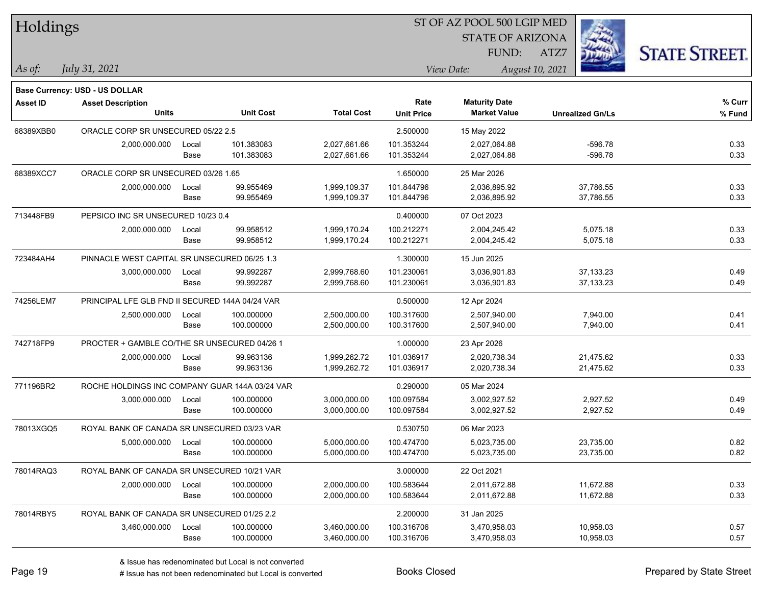| Holdings        |                                                 |       |                  |                   |                   | 51 OF AZ POOL 500 LGIP MED |                 |                         |                      |
|-----------------|-------------------------------------------------|-------|------------------|-------------------|-------------------|----------------------------|-----------------|-------------------------|----------------------|
|                 |                                                 |       |                  |                   |                   | <b>STATE OF ARIZONA</b>    |                 | Ż.                      |                      |
|                 |                                                 |       |                  |                   |                   | FUND:                      | ATZ7            |                         | <b>STATE STREET.</b> |
| As of:          | July 31, 2021                                   |       |                  |                   |                   | View Date:                 | August 10, 2021 |                         |                      |
|                 | Base Currency: USD - US DOLLAR                  |       |                  |                   |                   |                            |                 |                         |                      |
| <b>Asset ID</b> | <b>Asset Description</b>                        |       |                  |                   | Rate              | <b>Maturity Date</b>       |                 |                         | % Curr               |
|                 | <b>Units</b>                                    |       | <b>Unit Cost</b> | <b>Total Cost</b> | <b>Unit Price</b> | <b>Market Value</b>        |                 | <b>Unrealized Gn/Ls</b> | % Fund               |
| 68389XBB0       | ORACLE CORP SR UNSECURED 05/22 2.5              |       |                  |                   | 2.500000          | 15 May 2022                |                 |                         |                      |
|                 | 2,000,000.000                                   | Local | 101.383083       | 2,027,661.66      | 101.353244        | 2,027,064.88               |                 | $-596.78$               | 0.33                 |
|                 |                                                 | Base  | 101.383083       | 2,027,661.66      | 101.353244        | 2,027,064.88               |                 | $-596.78$               | 0.33                 |
| 68389XCC7       | ORACLE CORP SR UNSECURED 03/26 1.65             |       |                  |                   | 1.650000          | 25 Mar 2026                |                 |                         |                      |
|                 | 2,000,000.000                                   | Local | 99.955469        | 1,999,109.37      | 101.844796        | 2,036,895.92               |                 | 37,786.55               | 0.33                 |
|                 |                                                 | Base  | 99.955469        | 1,999,109.37      | 101.844796        | 2,036,895.92               |                 | 37,786.55               | 0.33                 |
| 713448FB9       | PEPSICO INC SR UNSECURED 10/23 0.4              |       |                  |                   | 0.400000          | 07 Oct 2023                |                 |                         |                      |
|                 | 2,000,000.000                                   | Local | 99.958512        | 1,999,170.24      | 100.212271        | 2,004,245.42               |                 | 5,075.18                | 0.33                 |
|                 |                                                 | Base  | 99.958512        | 1,999,170.24      | 100.212271        | 2,004,245.42               |                 | 5,075.18                | 0.33                 |
| 723484AH4       | PINNACLE WEST CAPITAL SR UNSECURED 06/25 1.3    |       |                  |                   | 1.300000          | 15 Jun 2025                |                 |                         |                      |
|                 | 3,000,000.000                                   | Local | 99.992287        | 2,999,768.60      | 101.230061        | 3,036,901.83               |                 | 37,133.23               | 0.49                 |
|                 |                                                 | Base  | 99.992287        | 2,999,768.60      | 101.230061        | 3,036,901.83               |                 | 37,133.23               | 0.49                 |
| 74256LEM7       | PRINCIPAL LFE GLB FND II SECURED 144A 04/24 VAR |       |                  |                   | 0.500000          | 12 Apr 2024                |                 |                         |                      |
|                 | 2,500,000.000                                   | Local | 100.000000       | 2,500,000.00      | 100.317600        | 2,507,940.00               |                 | 7,940.00                | 0.41                 |
|                 |                                                 | Base  | 100.000000       | 2,500,000.00      | 100.317600        | 2,507,940.00               |                 | 7,940.00                | 0.41                 |
| 742718FP9       | PROCTER + GAMBLE CO/THE SR UNSECURED 04/26 1    |       |                  |                   | 1.000000          | 23 Apr 2026                |                 |                         |                      |
|                 | 2,000,000.000                                   | Local | 99.963136        | 1,999,262.72      | 101.036917        | 2,020,738.34               |                 | 21,475.62               | 0.33                 |
|                 |                                                 | Base  | 99.963136        | 1,999,262.72      | 101.036917        | 2,020,738.34               |                 | 21,475.62               | 0.33                 |
| 771196BR2       | ROCHE HOLDINGS INC COMPANY GUAR 144A 03/24 VAR  |       |                  |                   | 0.290000          | 05 Mar 2024                |                 |                         |                      |
|                 | 3,000,000.000                                   | Local | 100.000000       | 3,000,000.00      | 100.097584        | 3,002,927.52               |                 | 2,927.52                | 0.49                 |
|                 |                                                 | Base  | 100.000000       | 3,000,000.00      | 100.097584        | 3,002,927.52               |                 | 2,927.52                | 0.49                 |
| 78013XGQ5       | ROYAL BANK OF CANADA SR UNSECURED 03/23 VAR     |       |                  |                   | 0.530750          | 06 Mar 2023                |                 |                         |                      |
|                 | 5,000,000.000                                   | Local | 100.000000       | 5,000,000.00      | 100.474700        | 5,023,735.00               |                 | 23,735.00               | 0.82                 |
|                 |                                                 | Base  | 100.000000       | 5,000,000.00      | 100.474700        | 5,023,735.00               |                 | 23,735.00               | 0.82                 |
| 78014RAQ3       | ROYAL BANK OF CANADA SR UNSECURED 10/21 VAR     |       |                  |                   | 3.000000          | 22 Oct 2021                |                 |                         |                      |
|                 | 2,000,000.000                                   | Local | 100.000000       | 2,000,000.00      | 100.583644        | 2,011,672.88               |                 | 11,672.88               | 0.33                 |
|                 |                                                 | Base  | 100.000000       | 2,000,000.00      | 100.583644        | 2,011,672.88               |                 | 11,672.88               | 0.33                 |
| 78014RBY5       | ROYAL BANK OF CANADA SR UNSECURED 01/25 2.2     |       |                  |                   | 2.200000          | 31 Jan 2025                |                 |                         |                      |
|                 | 3,460,000.000                                   | Local | 100.000000       | 3,460,000.00      | 100.316706        | 3,470,958.03               |                 | 10,958.03               | 0.57                 |
|                 |                                                 | Base  | 100.000000       | 3,460,000.00      | 100.316706        | 3,470,958.03               |                 | 10,958.03               | 0.57                 |

# Issue has not been redenominated but Local is converted Books Closed Prepared by State Street

 $ST$  OF AZ POOL 500 LCIP MED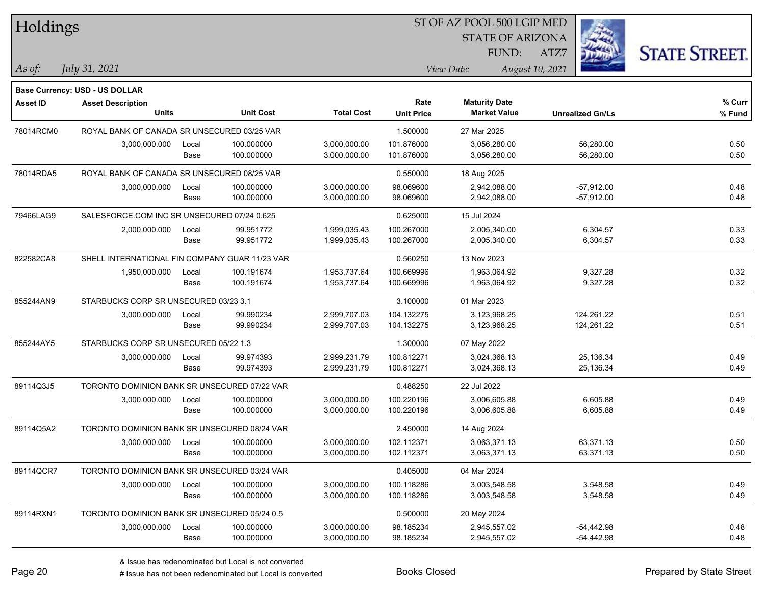| Holdings        |                                                |       |                  |                   |                   | ST OF AZ POOL 500 LGIP MED |                         |                      |
|-----------------|------------------------------------------------|-------|------------------|-------------------|-------------------|----------------------------|-------------------------|----------------------|
|                 |                                                |       |                  |                   |                   | <b>STATE OF ARIZONA</b>    |                         |                      |
|                 |                                                |       |                  |                   |                   | FUND:                      | ATZ7                    | <b>STATE STREET.</b> |
| As of:          | July 31, 2021                                  |       |                  |                   |                   | View Date:                 | August 10, 2021         |                      |
|                 | Base Currency: USD - US DOLLAR                 |       |                  |                   |                   |                            |                         |                      |
| <b>Asset ID</b> | <b>Asset Description</b>                       |       |                  |                   | Rate              | <b>Maturity Date</b>       |                         | % Curr               |
|                 | <b>Units</b>                                   |       | <b>Unit Cost</b> | <b>Total Cost</b> | <b>Unit Price</b> | <b>Market Value</b>        | <b>Unrealized Gn/Ls</b> | % Fund               |
| 78014RCM0       | ROYAL BANK OF CANADA SR UNSECURED 03/25 VAR    |       |                  |                   | 1.500000          | 27 Mar 2025                |                         |                      |
|                 | 3,000,000.000                                  | Local | 100.000000       | 3,000,000.00      | 101.876000        | 3,056,280.00               | 56,280.00               | 0.50                 |
|                 |                                                | Base  | 100.000000       | 3,000,000.00      | 101.876000        | 3,056,280.00               | 56,280.00               | 0.50                 |
| 78014RDA5       | ROYAL BANK OF CANADA SR UNSECURED 08/25 VAR    |       |                  |                   | 0.550000          | 18 Aug 2025                |                         |                      |
|                 | 3,000,000.000                                  | Local | 100.000000       | 3,000,000.00      | 98.069600         | 2,942,088.00               | $-57,912.00$            | 0.48                 |
|                 |                                                | Base  | 100.000000       | 3,000,000.00      | 98.069600         | 2,942,088.00               | $-57,912.00$            | 0.48                 |
| 79466LAG9       | SALESFORCE.COM INC SR UNSECURED 07/24 0.625    |       |                  |                   | 0.625000          | 15 Jul 2024                |                         |                      |
|                 | 2,000,000.000                                  | Local | 99.951772        | 1,999,035.43      | 100.267000        | 2,005,340.00               | 6,304.57                | 0.33                 |
|                 |                                                | Base  | 99.951772        | 1,999,035.43      | 100.267000        | 2,005,340.00               | 6,304.57                | 0.33                 |
| 822582CA8       | SHELL INTERNATIONAL FIN COMPANY GUAR 11/23 VAR |       |                  |                   | 0.560250          | 13 Nov 2023                |                         |                      |
|                 | 1,950,000.000                                  | Local | 100.191674       | 1,953,737.64      | 100.669996        | 1,963,064.92               | 9,327.28                | 0.32                 |
|                 |                                                | Base  | 100.191674       | 1,953,737.64      | 100.669996        | 1,963,064.92               | 9,327.28                | 0.32                 |
| 855244AN9       | STARBUCKS CORP SR UNSECURED 03/23 3.1          |       |                  |                   | 3.100000          | 01 Mar 2023                |                         |                      |
|                 | 3,000,000.000                                  | Local | 99.990234        | 2,999,707.03      | 104.132275        | 3,123,968.25               | 124,261.22              | 0.51                 |
|                 |                                                | Base  | 99.990234        | 2,999,707.03      | 104.132275        | 3,123,968.25               | 124,261.22              | 0.51                 |
| 855244AY5       | STARBUCKS CORP SR UNSECURED 05/22 1.3          |       |                  |                   | 1.300000          | 07 May 2022                |                         |                      |
|                 | 3,000,000.000                                  | Local | 99.974393        | 2,999,231.79      | 100.812271        | 3,024,368.13               | 25,136.34               | 0.49                 |
|                 |                                                | Base  | 99.974393        | 2,999,231.79      | 100.812271        | 3,024,368.13               | 25,136.34               | 0.49                 |
| 89114Q3J5       | TORONTO DOMINION BANK SR UNSECURED 07/22 VAR   |       |                  |                   | 0.488250          | 22 Jul 2022                |                         |                      |
|                 | 3,000,000.000                                  | Local | 100.000000       | 3,000,000.00      | 100.220196        | 3,006,605.88               | 6,605.88                | 0.49                 |
|                 |                                                | Base  | 100.000000       | 3,000,000.00      | 100.220196        | 3,006,605.88               | 6,605.88                | 0.49                 |
| 89114Q5A2       | TORONTO DOMINION BANK SR UNSECURED 08/24 VAR   |       |                  |                   | 2.450000          | 14 Aug 2024                |                         |                      |
|                 | 3,000,000.000                                  | Local | 100.000000       | 3,000,000.00      | 102.112371        | 3,063,371.13               | 63,371.13               | 0.50                 |
|                 |                                                | Base  | 100.000000       | 3,000,000.00      | 102.112371        | 3,063,371.13               | 63,371.13               | 0.50                 |
| 89114QCR7       | TORONTO DOMINION BANK SR UNSECURED 03/24 VAR   |       |                  |                   | 0.405000          | 04 Mar 2024                |                         |                      |
|                 | 3,000,000.000                                  | Local | 100.000000       | 3,000,000.00      | 100.118286        | 3,003,548.58               | 3,548.58                | 0.49                 |
|                 |                                                | Base  | 100.000000       | 3,000,000.00      | 100.118286        | 3,003,548.58               | 3,548.58                | 0.49                 |
| 89114RXN1       | TORONTO DOMINION BANK SR UNSECURED 05/24 0.5   |       |                  |                   | 0.500000          | 20 May 2024                |                         |                      |
|                 | 3,000,000.000                                  | Local | 100.000000       | 3,000,000.00      | 98.185234         | 2,945,557.02               | $-54,442.98$            | 0.48                 |
|                 |                                                | Base  | 100.000000       | 3,000,000.00      | 98.185234         | 2,945,557.02               | $-54,442.98$            | 0.48                 |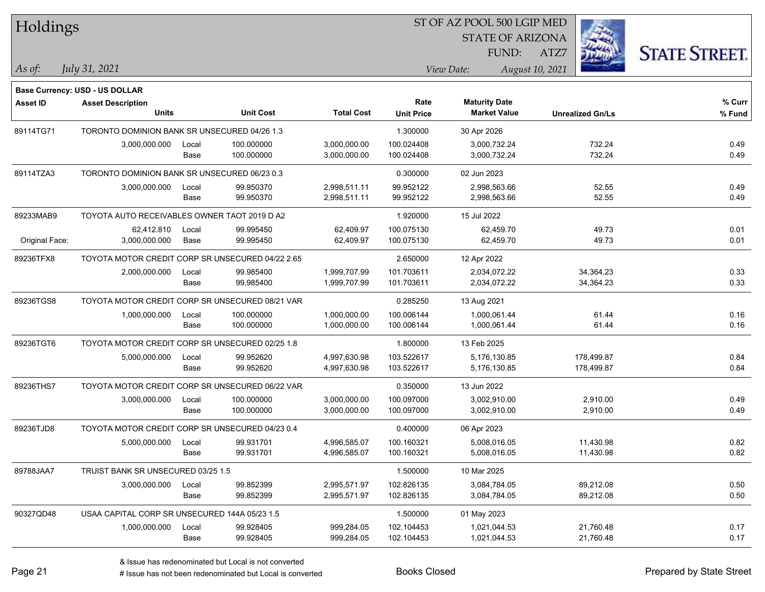| <b>Holdings</b> |                                                  |       |                  |                   | 51 OF AZ POOL 500 LGIP MED |                         |                         |                      |  |  |
|-----------------|--------------------------------------------------|-------|------------------|-------------------|----------------------------|-------------------------|-------------------------|----------------------|--|--|
|                 |                                                  |       |                  |                   |                            | <b>STATE OF ARIZONA</b> |                         |                      |  |  |
|                 |                                                  |       |                  |                   |                            | FUND:                   | ATZ7                    | <b>STATE STREET.</b> |  |  |
|                 |                                                  |       |                  |                   |                            |                         |                         |                      |  |  |
| As of:          | July 31, 2021                                    |       |                  |                   |                            | View Date:              | August 10, 2021         |                      |  |  |
|                 | Base Currency: USD - US DOLLAR                   |       |                  |                   |                            |                         |                         |                      |  |  |
| <b>Asset ID</b> | <b>Asset Description</b>                         |       |                  |                   | Rate                       | <b>Maturity Date</b>    |                         | % Curr               |  |  |
|                 | <b>Units</b>                                     |       | <b>Unit Cost</b> | <b>Total Cost</b> | <b>Unit Price</b>          | <b>Market Value</b>     | <b>Unrealized Gn/Ls</b> | % Fund               |  |  |
| 89114TG71       | TORONTO DOMINION BANK SR UNSECURED 04/26 1.3     |       |                  |                   | 1.300000                   | 30 Apr 2026             |                         |                      |  |  |
|                 | 3,000,000.000                                    | Local | 100.000000       | 3,000,000.00      | 100.024408                 | 3,000,732.24            | 732.24                  | 0.49                 |  |  |
|                 |                                                  | Base  | 100.000000       | 3,000,000.00      | 100.024408                 | 3,000,732.24            | 732.24                  | 0.49                 |  |  |
| 89114TZA3       | TORONTO DOMINION BANK SR UNSECURED 06/23 0.3     |       |                  |                   | 0.300000                   | 02 Jun 2023             |                         |                      |  |  |
|                 | 3,000,000.000                                    | Local | 99.950370        | 2,998,511.11      | 99.952122                  | 2,998,563.66            | 52.55                   | 0.49                 |  |  |
|                 |                                                  | Base  | 99.950370        | 2,998,511.11      | 99.952122                  | 2,998,563.66            | 52.55                   | 0.49                 |  |  |
| 89233MAB9       | TOYOTA AUTO RECEIVABLES OWNER TAOT 2019 D A2     |       |                  |                   | 1.920000                   | 15 Jul 2022             |                         |                      |  |  |
|                 | 62,412.810                                       | Local | 99.995450        | 62,409.97         | 100.075130                 | 62,459.70               | 49.73                   | 0.01                 |  |  |
| Original Face:  | 3,000,000.000                                    | Base  | 99.995450        | 62,409.97         | 100.075130                 | 62,459.70               | 49.73                   | 0.01                 |  |  |
| 89236TFX8       | TOYOTA MOTOR CREDIT CORP SR UNSECURED 04/22 2.65 |       |                  |                   | 2.650000                   | 12 Apr 2022             |                         |                      |  |  |
|                 | 2,000,000.000                                    | Local | 99.985400        | 1,999,707.99      | 101.703611                 | 2,034,072.22            | 34,364.23               | 0.33                 |  |  |
|                 |                                                  | Base  | 99.985400        | 1,999,707.99      | 101.703611                 | 2,034,072.22            | 34,364.23               | 0.33                 |  |  |
| 89236TGS8       | TOYOTA MOTOR CREDIT CORP SR UNSECURED 08/21 VAR  |       |                  |                   | 0.285250                   | 13 Aug 2021             |                         |                      |  |  |
|                 | 1,000,000.000                                    | Local | 100.000000       | 1,000,000.00      | 100.006144                 | 1,000,061.44            | 61.44                   | 0.16                 |  |  |
|                 |                                                  | Base  | 100.000000       | 1,000,000.00      | 100.006144                 | 1,000,061.44            | 61.44                   | 0.16                 |  |  |
| 89236TGT6       | TOYOTA MOTOR CREDIT CORP SR UNSECURED 02/25 1.8  |       |                  |                   | 1.800000                   | 13 Feb 2025             |                         |                      |  |  |
|                 | 5,000,000.000                                    | Local | 99.952620        | 4,997,630.98      | 103.522617                 | 5,176,130.85            | 178,499.87              | 0.84                 |  |  |
|                 |                                                  | Base  | 99.952620        | 4,997,630.98      | 103.522617                 | 5,176,130.85            | 178,499.87              | 0.84                 |  |  |
| 89236THS7       | TOYOTA MOTOR CREDIT CORP SR UNSECURED 06/22 VAR  |       |                  |                   | 0.350000                   | 13 Jun 2022             |                         |                      |  |  |
|                 | 3,000,000.000                                    | Local | 100.000000       | 3,000,000.00      | 100.097000                 | 3,002,910.00            | 2,910.00                | 0.49                 |  |  |
|                 |                                                  | Base  | 100.000000       | 3,000,000.00      | 100.097000                 | 3,002,910.00            | 2,910.00                | 0.49                 |  |  |
| 89236TJD8       | TOYOTA MOTOR CREDIT CORP SR UNSECURED 04/23 0.4  |       |                  |                   | 0.400000                   | 06 Apr 2023             |                         |                      |  |  |
|                 | 5,000,000.000                                    | Local | 99.931701        | 4.996.585.07      | 100.160321                 | 5,008,016.05            | 11,430.98               | 0.82                 |  |  |
|                 |                                                  | Base  | 99.931701        | 4,996,585.07      | 100.160321                 | 5,008,016.05            | 11.430.98               | 0.82                 |  |  |
| 89788JAA7       | TRUIST BANK SR UNSECURED 03/25 1.5               |       |                  |                   | 1.500000                   | 10 Mar 2025             |                         |                      |  |  |
|                 | 3,000,000.000                                    | Local | 99.852399        | 2,995,571.97      | 102.826135                 | 3,084,784.05            | 89,212.08               | 0.50                 |  |  |
|                 |                                                  | Base  | 99.852399        | 2,995,571.97      | 102.826135                 | 3,084,784.05            | 89,212.08               | 0.50                 |  |  |
| 90327QD48       | USAA CAPITAL CORP SR UNSECURED 144A 05/23 1.5    |       |                  |                   | 1.500000                   | 01 May 2023             |                         |                      |  |  |
|                 | 1,000,000.000                                    | Local | 99.928405        | 999,284.05        | 102.104453                 | 1,021,044.53            | 21,760.48               | 0.17                 |  |  |
|                 |                                                  | Base  | 99.928405        | 999,284.05        | 102.104453                 | 1,021,044.53            | 21,760.48               | 0.17                 |  |  |

 $ST$  OF AZ POOL 500 LCIP MED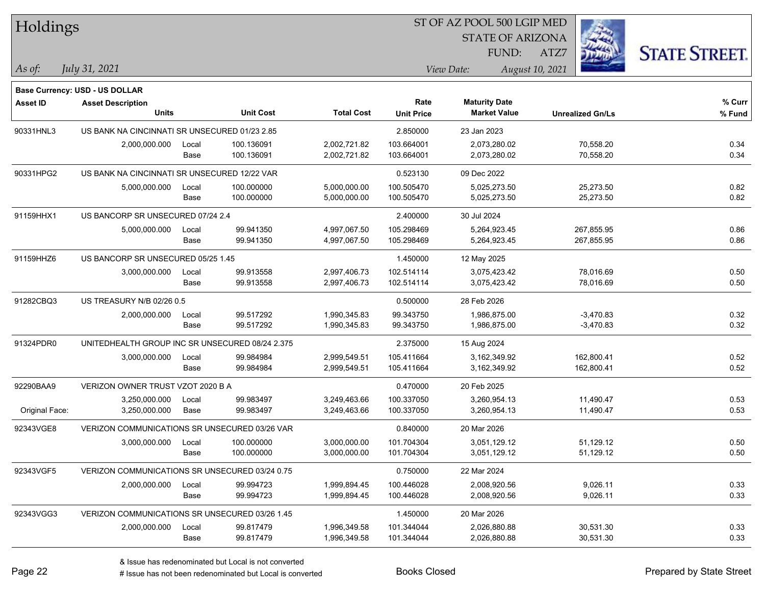| Holdings        |                                                 |       |                  |                   |                   | ST OF AZ POOL 500 LGIP MED |                         |                      |
|-----------------|-------------------------------------------------|-------|------------------|-------------------|-------------------|----------------------------|-------------------------|----------------------|
|                 |                                                 |       |                  |                   |                   | <b>STATE OF ARIZONA</b>    |                         |                      |
|                 |                                                 |       |                  |                   |                   | FUND:                      | ATZ7                    | <b>STATE STREET.</b> |
| As of:          | July 31, 2021                                   |       |                  |                   |                   | View Date:                 | August 10, 2021         |                      |
|                 | <b>Base Currency: USD - US DOLLAR</b>           |       |                  |                   |                   |                            |                         |                      |
| <b>Asset ID</b> | <b>Asset Description</b>                        |       |                  |                   | Rate              | <b>Maturity Date</b>       |                         | % Curr               |
|                 | <b>Units</b>                                    |       | <b>Unit Cost</b> | <b>Total Cost</b> | <b>Unit Price</b> | <b>Market Value</b>        | <b>Unrealized Gn/Ls</b> | % Fund               |
| 90331HNL3       | US BANK NA CINCINNATI SR UNSECURED 01/23 2.85   |       |                  |                   | 2.850000          | 23 Jan 2023                |                         |                      |
|                 | 2,000,000.000                                   | Local | 100.136091       | 2,002,721.82      | 103.664001        | 2,073,280.02               | 70,558.20               | 0.34                 |
|                 |                                                 | Base  | 100.136091       | 2,002,721.82      | 103.664001        | 2,073,280.02               | 70,558.20               | 0.34                 |
| 90331HPG2       | US BANK NA CINCINNATI SR UNSECURED 12/22 VAR    |       |                  |                   | 0.523130          | 09 Dec 2022                |                         |                      |
|                 | 5,000,000.000                                   | Local | 100.000000       | 5,000,000.00      | 100.505470        | 5,025,273.50               | 25,273.50               | 0.82                 |
|                 |                                                 | Base  | 100.000000       | 5,000,000.00      | 100.505470        | 5,025,273.50               | 25,273.50               | 0.82                 |
| 91159HHX1       | US BANCORP SR UNSECURED 07/24 2.4               |       |                  |                   | 2.400000          | 30 Jul 2024                |                         |                      |
|                 | 5,000,000.000                                   | Local | 99.941350        | 4,997,067.50      | 105.298469        | 5,264,923.45               | 267,855.95              | 0.86                 |
|                 |                                                 | Base  | 99.941350        | 4,997,067.50      | 105.298469        | 5,264,923.45               | 267,855.95              | 0.86                 |
| 91159HHZ6       | US BANCORP SR UNSECURED 05/25 1.45              |       |                  |                   | 1.450000          | 12 May 2025                |                         |                      |
|                 | 3,000,000.000                                   | Local | 99.913558        | 2,997,406.73      | 102.514114        | 3,075,423.42               | 78,016.69               | 0.50                 |
|                 |                                                 | Base  | 99.913558        | 2,997,406.73      | 102.514114        | 3,075,423.42               | 78,016.69               | 0.50                 |
| 91282CBQ3       | US TREASURY N/B 02/26 0.5                       |       |                  |                   | 0.500000          | 28 Feb 2026                |                         |                      |
|                 | 2,000,000.000                                   | Local | 99.517292        | 1,990,345.83      | 99.343750         | 1,986,875.00               | $-3,470.83$             | 0.32                 |
|                 |                                                 | Base  | 99.517292        | 1,990,345.83      | 99.343750         | 1,986,875.00               | $-3,470.83$             | 0.32                 |
| 91324PDR0       | UNITEDHEALTH GROUP INC SR UNSECURED 08/24 2.375 |       |                  |                   | 2.375000          | 15 Aug 2024                |                         |                      |
|                 | 3,000,000.000                                   | Local | 99.984984        | 2,999,549.51      | 105.411664        | 3,162,349.92               | 162,800.41              | 0.52                 |
|                 |                                                 | Base  | 99.984984        | 2,999,549.51      | 105.411664        | 3,162,349.92               | 162,800.41              | 0.52                 |
| 92290BAA9       | VERIZON OWNER TRUST VZOT 2020 B A               |       |                  |                   | 0.470000          | 20 Feb 2025                |                         |                      |
|                 | 3,250,000.000                                   | Local | 99.983497        | 3,249,463.66      | 100.337050        | 3,260,954.13               | 11,490.47               | 0.53                 |
| Original Face:  | 3,250,000.000                                   | Base  | 99.983497        | 3,249,463.66      | 100.337050        | 3,260,954.13               | 11,490.47               | 0.53                 |
| 92343VGE8       | VERIZON COMMUNICATIONS SR UNSECURED 03/26 VAR   |       |                  |                   | 0.840000          | 20 Mar 2026                |                         |                      |
|                 | 3,000,000.000                                   | Local | 100.000000       | 3,000,000.00      | 101.704304        | 3,051,129.12               | 51,129.12               | 0.50                 |
|                 |                                                 | Base  | 100.000000       | 3,000,000.00      | 101.704304        | 3,051,129.12               | 51,129.12               | 0.50                 |
| 92343VGF5       | VERIZON COMMUNICATIONS SR UNSECURED 03/24 0.75  |       |                  |                   | 0.750000          | 22 Mar 2024                |                         |                      |
|                 | 2,000,000.000                                   | Local | 99.994723        | 1,999,894.45      | 100.446028        | 2,008,920.56               | 9,026.11                | 0.33                 |
|                 |                                                 | Base  | 99.994723        | 1,999,894.45      | 100.446028        | 2,008,920.56               | 9,026.11                | 0.33                 |
| 92343VGG3       | VERIZON COMMUNICATIONS SR UNSECURED 03/26 1.45  |       |                  |                   | 1.450000          | 20 Mar 2026                |                         |                      |
|                 | 2,000,000.000                                   | Local | 99.817479        | 1,996,349.58      | 101.344044        | 2,026,880.88               | 30,531.30               | 0.33                 |
|                 |                                                 | Base  | 99.817479        | 1,996,349.58      | 101.344044        | 2,026,880.88               | 30,531.30               | 0.33                 |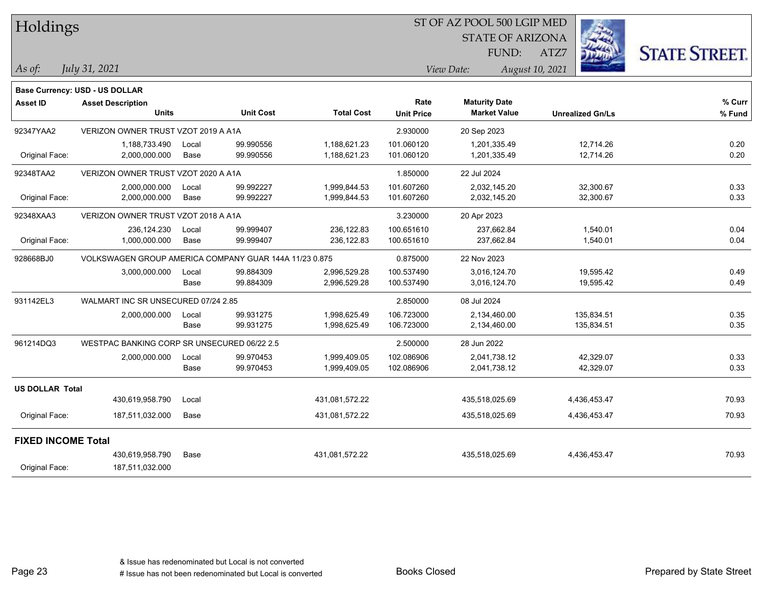| Holdings                  |                                                        |               |                        |                              | ST OF AZ POOL 500 LGIP MED |                                             |                          |                      |
|---------------------------|--------------------------------------------------------|---------------|------------------------|------------------------------|----------------------------|---------------------------------------------|--------------------------|----------------------|
|                           |                                                        |               |                        |                              |                            | <b>STATE OF ARIZONA</b>                     |                          |                      |
|                           |                                                        |               |                        |                              |                            | FUND:                                       | ATZ7                     | <b>STATE STREET.</b> |
| As of:                    | July 31, 2021                                          |               |                        |                              |                            | View Date:                                  | August 10, 2021          |                      |
|                           | Base Currency: USD - US DOLLAR                         |               |                        |                              |                            |                                             |                          |                      |
| Asset ID                  | <b>Asset Description</b><br><b>Units</b>               |               | <b>Unit Cost</b>       | <b>Total Cost</b>            | Rate<br><b>Unit Price</b>  | <b>Maturity Date</b><br><b>Market Value</b> | <b>Unrealized Gn/Ls</b>  | % Curr<br>% Fund     |
| 92347YAA2                 | VERIZON OWNER TRUST VZOT 2019 A A1A                    |               |                        |                              | 2.930000                   | 20 Sep 2023                                 |                          |                      |
| Original Face:            | 1,188,733.490<br>2,000,000.000                         | Local<br>Base | 99.990556<br>99.990556 | 1,188,621.23<br>1,188,621.23 | 101.060120<br>101.060120   | 1,201,335.49<br>1,201,335.49                | 12,714.26<br>12,714.26   | 0.20<br>0.20         |
| 92348TAA2                 | VERIZON OWNER TRUST VZOT 2020 A A1A                    |               |                        |                              | 1.850000                   | 22 Jul 2024                                 |                          |                      |
| Original Face:            | 2,000,000.000<br>2,000,000.000                         | Local<br>Base | 99.992227<br>99.992227 | 1,999,844.53<br>1,999,844.53 | 101.607260<br>101.607260   | 2,032,145.20<br>2,032,145.20                | 32,300.67<br>32,300.67   | 0.33<br>0.33         |
| 92348XAA3                 | VERIZON OWNER TRUST VZOT 2018 A A1A                    |               |                        |                              | 3.230000                   | 20 Apr 2023                                 |                          |                      |
| Original Face:            | 236,124.230<br>1,000,000.000                           | Local<br>Base | 99.999407<br>99.999407 | 236,122.83<br>236,122.83     | 100.651610<br>100.651610   | 237.662.84<br>237,662.84                    | 1,540.01<br>1,540.01     | 0.04<br>0.04         |
| 928668BJ0                 | VOLKSWAGEN GROUP AMERICA COMPANY GUAR 144A 11/23 0.875 |               |                        |                              | 0.875000                   | 22 Nov 2023                                 |                          |                      |
|                           | 3,000,000.000                                          | Local<br>Base | 99.884309<br>99.884309 | 2,996,529.28<br>2,996,529.28 | 100.537490<br>100.537490   | 3,016,124.70<br>3,016,124.70                | 19,595.42<br>19,595.42   | 0.49<br>0.49         |
| 931142EL3                 | WALMART INC SR UNSECURED 07/24 2.85                    |               |                        |                              | 2.850000                   | 08 Jul 2024                                 |                          |                      |
|                           | 2,000,000.000                                          | Local<br>Base | 99.931275<br>99.931275 | 1,998,625.49<br>1,998,625.49 | 106.723000<br>106.723000   | 2,134,460.00<br>2,134,460.00                | 135,834.51<br>135,834.51 | 0.35<br>0.35         |
| 961214DQ3                 | WESTPAC BANKING CORP SR UNSECURED 06/22 2.5            |               |                        |                              | 2.500000                   | 28 Jun 2022                                 |                          |                      |
|                           | 2,000,000.000                                          | Local<br>Base | 99.970453<br>99.970453 | 1,999,409.05<br>1,999,409.05 | 102.086906<br>102.086906   | 2,041,738.12<br>2,041,738.12                | 42,329.07<br>42,329.07   | 0.33<br>0.33         |
| <b>US DOLLAR Total</b>    |                                                        |               |                        |                              |                            |                                             |                          |                      |
|                           | 430,619,958.790                                        | Local         |                        | 431,081,572.22               |                            | 435,518,025.69                              | 4,436,453.47             | 70.93                |
| Original Face:            | 187,511,032.000                                        | Base          |                        | 431,081,572.22               |                            | 435,518,025.69                              | 4,436,453.47             | 70.93                |
| <b>FIXED INCOME Total</b> |                                                        |               |                        |                              |                            |                                             |                          |                      |
| Original Face:            | 430,619,958.790<br>187,511,032.000                     | Base          |                        | 431,081,572.22               |                            | 435,518,025.69                              | 4,436,453.47             | 70.93                |

Page 23

٦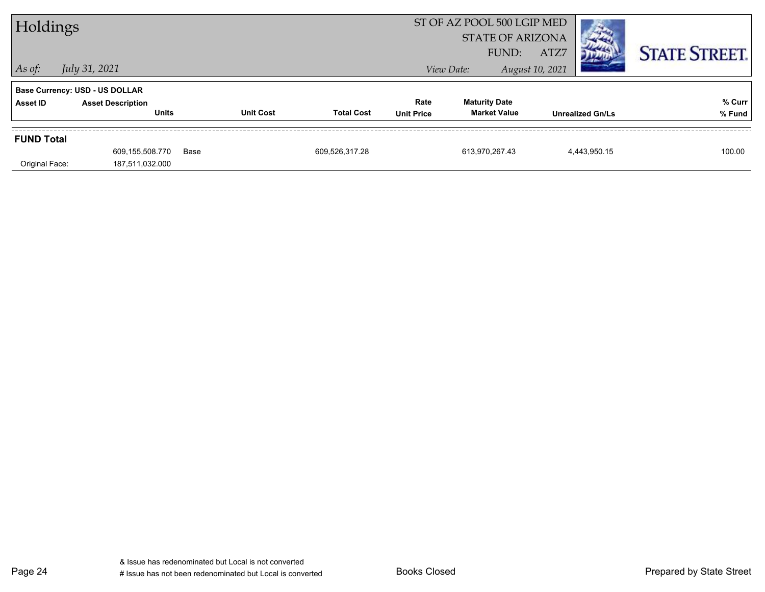| ST OF AZ POOL 500 LGIP MED<br>Holdings<br><b>STATE OF ARIZONA</b><br>FUND: |                                          |      |                  | ATZ7              |                           | <b>STATE STREET.</b>                        |                 |                         |                  |
|----------------------------------------------------------------------------|------------------------------------------|------|------------------|-------------------|---------------------------|---------------------------------------------|-----------------|-------------------------|------------------|
| $ $ As of:                                                                 | July 31, 2021                            |      |                  |                   |                           | View Date:                                  | August 10, 2021 |                         |                  |
|                                                                            | <b>Base Currency: USD - US DOLLAR</b>    |      |                  |                   |                           |                                             |                 |                         |                  |
| Asset ID                                                                   | <b>Asset Description</b><br><b>Units</b> |      | <b>Unit Cost</b> | <b>Total Cost</b> | Rate<br><b>Unit Price</b> | <b>Maturity Date</b><br><b>Market Value</b> |                 | <b>Unrealized Gn/Ls</b> | % Curr<br>% Fund |
| <b>FUND Total</b>                                                          |                                          |      |                  |                   |                           |                                             |                 |                         |                  |
|                                                                            | 609,155,508.770                          | Base |                  | 609,526,317.28    |                           | 613.970.267.43                              |                 | 4,443,950.15            | 100.00           |
| Original Face:                                                             | 187,511,032.000                          |      |                  |                   |                           |                                             |                 |                         |                  |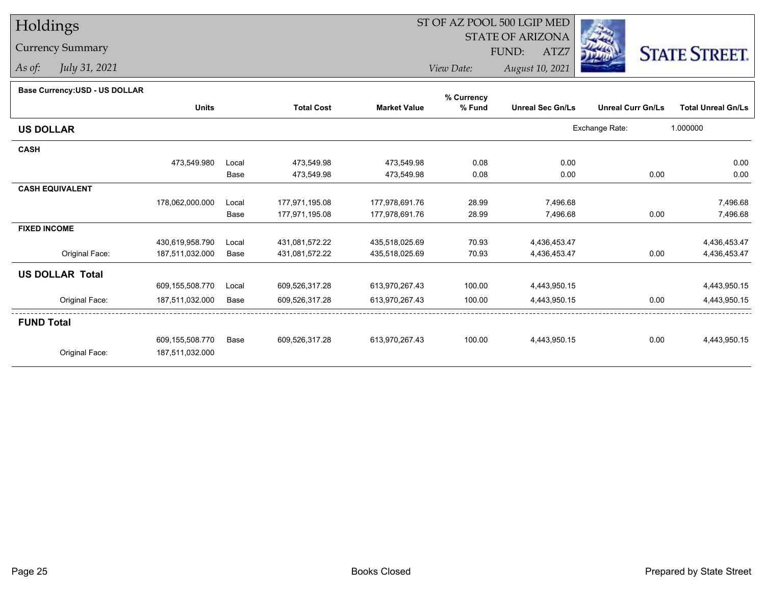# Holdings

## Currency Summary

*As of: July 31, 2021*

## ST OF AZ POOL 500 LGIP MED

 STATE OF ARIZONAFUND:

ATZ7



*View Date:August 10, 2021*

| Base Currency: USD - US DOLLAR |  |
|--------------------------------|--|
|--------------------------------|--|

| Dase Currency: USD - US DULLAR | <b>Units</b>    |       | <b>Total Cost</b> | <b>Market Value</b> | % Currency<br>% Fund | <b>Unreal Sec Gn/Ls</b> | <b>Unreal Curr Gn/Ls</b> | <b>Total Unreal Gn/Ls</b> |
|--------------------------------|-----------------|-------|-------------------|---------------------|----------------------|-------------------------|--------------------------|---------------------------|
| <b>US DOLLAR</b>               |                 |       |                   |                     |                      |                         | Exchange Rate:           | 1.000000                  |
| <b>CASH</b>                    |                 |       |                   |                     |                      |                         |                          |                           |
|                                | 473,549.980     | Local | 473,549.98        | 473,549.98          | 0.08                 | 0.00                    |                          | 0.00                      |
|                                |                 | Base  | 473,549.98        | 473,549.98          | 0.08                 | 0.00                    | 0.00                     | 0.00                      |
| <b>CASH EQUIVALENT</b>         |                 |       |                   |                     |                      |                         |                          |                           |
|                                | 178,062,000.000 | Local | 177,971,195.08    | 177,978,691.76      | 28.99                | 7,496.68                |                          | 7,496.68                  |
|                                |                 | Base  | 177,971,195.08    | 177,978,691.76      | 28.99                | 7,496.68                | 0.00                     | 7,496.68                  |
| <b>FIXED INCOME</b>            |                 |       |                   |                     |                      |                         |                          |                           |
|                                | 430,619,958.790 | Local | 431,081,572.22    | 435,518,025.69      | 70.93                | 4,436,453.47            |                          | 4,436,453.47              |
| Original Face:                 | 187,511,032.000 | Base  | 431,081,572.22    | 435,518,025.69      | 70.93                | 4,436,453.47            | 0.00                     | 4,436,453.47              |
| <b>US DOLLAR Total</b>         |                 |       |                   |                     |                      |                         |                          |                           |
|                                | 609,155,508.770 | Local | 609,526,317.28    | 613,970,267.43      | 100.00               | 4,443,950.15            |                          | 4,443,950.15              |
| Original Face:                 | 187,511,032.000 | Base  | 609,526,317.28    | 613,970,267.43      | 100.00               | 4,443,950.15            | 0.00                     | 4,443,950.15              |
| <b>FUND Total</b>              |                 |       |                   |                     |                      |                         |                          |                           |
|                                | 609,155,508.770 | Base  | 609,526,317.28    | 613.970.267.43      | 100.00               | 4,443,950.15            | 0.00                     | 4,443,950.15              |
| Original Face:                 | 187,511,032.000 |       |                   |                     |                      |                         |                          |                           |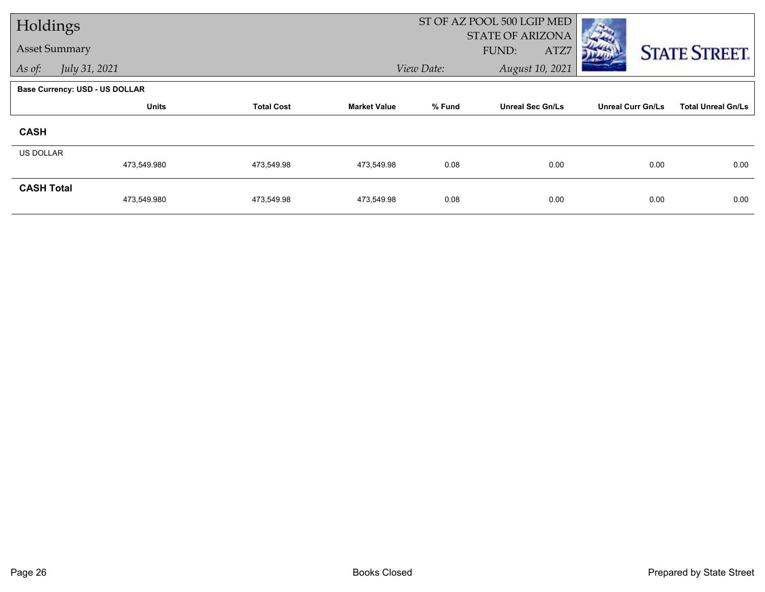| Holdings             |                                       |                   |                     |            | ST OF AZ POOL 500 LGIP MED               |                          |                           |
|----------------------|---------------------------------------|-------------------|---------------------|------------|------------------------------------------|--------------------------|---------------------------|
| <b>Asset Summary</b> |                                       |                   |                     |            | <b>STATE OF ARIZONA</b><br>FUND:<br>ATZ7 |                          |                           |
| As of:               | July 31, 2021                         |                   |                     | View Date: | August 10, 2021                          |                          | <b>STATE STREET.</b>      |
|                      |                                       |                   |                     |            |                                          |                          |                           |
|                      | <b>Base Currency: USD - US DOLLAR</b> |                   |                     |            |                                          |                          |                           |
|                      | <b>Units</b>                          | <b>Total Cost</b> | <b>Market Value</b> | % Fund     | <b>Unreal Sec Gn/Ls</b>                  | <b>Unreal Curr Gn/Ls</b> | <b>Total Unreal Gn/Ls</b> |
| <b>CASH</b>          |                                       |                   |                     |            |                                          |                          |                           |
| <b>US DOLLAR</b>     |                                       |                   |                     |            |                                          |                          |                           |
|                      | 473,549.980                           | 473,549.98        | 473,549.98          | 0.08       | 0.00                                     | 0.00                     | 0.00                      |
| <b>CASH Total</b>    |                                       |                   |                     |            |                                          |                          |                           |
|                      | 473,549.980                           | 473,549.98        | 473,549.98          | 0.08       | 0.00                                     | 0.00                     | 0.00                      |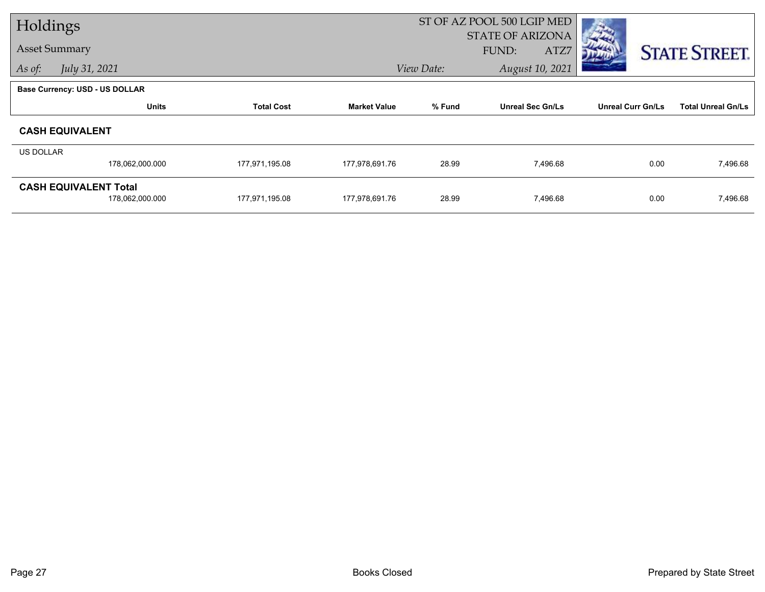| Holdings  |                                |                   |                     | ST OF AZ POOL 500 LGIP MED |                         |                          |                           |
|-----------|--------------------------------|-------------------|---------------------|----------------------------|-------------------------|--------------------------|---------------------------|
|           |                                |                   |                     |                            | <b>STATE OF ARIZONA</b> |                          |                           |
|           | <b>Asset Summary</b>           |                   |                     |                            | FUND:<br>ATZ7           |                          | <b>STATE STREET.</b>      |
| As of:    | July 31, 2021                  |                   |                     | View Date:                 | August 10, 2021         |                          |                           |
|           | Base Currency: USD - US DOLLAR |                   |                     |                            |                         |                          |                           |
|           | <b>Units</b>                   | <b>Total Cost</b> | <b>Market Value</b> | % Fund                     | <b>Unreal Sec Gn/Ls</b> | <b>Unreal Curr Gn/Ls</b> | <b>Total Unreal Gn/Ls</b> |
|           | <b>CASH EQUIVALENT</b>         |                   |                     |                            |                         |                          |                           |
| US DOLLAR |                                |                   |                     |                            |                         |                          |                           |
|           | 178,062,000.000                | 177,971,195.08    | 177,978,691.76      | 28.99                      | 7,496.68                | 0.00                     | 7,496.68                  |
|           | <b>CASH EQUIVALENT Total</b>   |                   |                     |                            |                         |                          |                           |
|           | 178,062,000.000                | 177,971,195.08    | 177,978,691.76      | 28.99                      | 7,496.68                | 0.00                     | 7,496.68                  |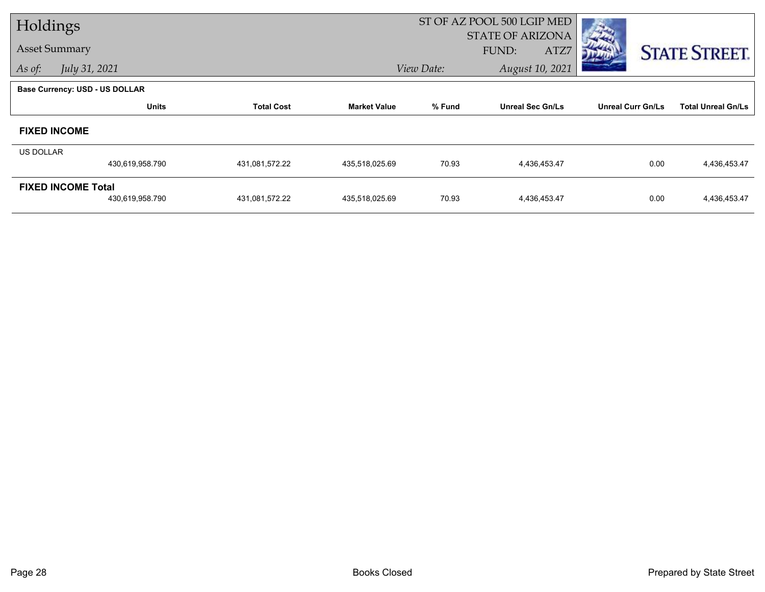| Holdings             |                                       |                   |                     |            | ST OF AZ POOL 500 LGIP MED               |                          |                           |
|----------------------|---------------------------------------|-------------------|---------------------|------------|------------------------------------------|--------------------------|---------------------------|
| <b>Asset Summary</b> |                                       |                   |                     |            | <b>STATE OF ARIZONA</b><br>ATZ7<br>FUND: |                          | <b>STATE STREET.</b>      |
| As of:               | July 31, 2021                         |                   |                     | View Date: | August 10, 2021                          |                          |                           |
|                      | <b>Base Currency: USD - US DOLLAR</b> |                   |                     |            |                                          |                          |                           |
|                      | <b>Units</b>                          | <b>Total Cost</b> | <b>Market Value</b> | % Fund     | <b>Unreal Sec Gn/Ls</b>                  | <b>Unreal Curr Gn/Ls</b> | <b>Total Unreal Gn/Ls</b> |
| <b>FIXED INCOME</b>  |                                       |                   |                     |            |                                          |                          |                           |
| US DOLLAR            |                                       |                   |                     |            |                                          |                          |                           |
|                      | 430,619,958.790                       | 431,081,572.22    | 435,518,025.69      | 70.93      | 4,436,453.47                             | 0.00                     | 4,436,453.47              |
|                      | <b>FIXED INCOME Total</b>             |                   |                     |            |                                          |                          |                           |
|                      | 430,619,958.790                       | 431,081,572.22    | 435,518,025.69      | 70.93      | 4,436,453.47                             | 0.00                     | 4,436,453.47              |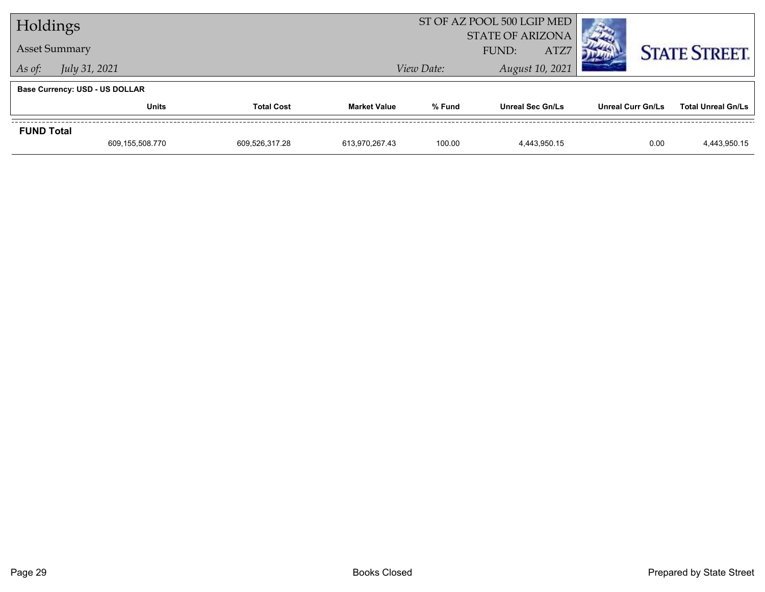| Holdings          |                                       |                   |                     |        | ST OF AZ POOL 500 LGIP MED               | <b>COMPANY</b>    |                           |
|-------------------|---------------------------------------|-------------------|---------------------|--------|------------------------------------------|-------------------|---------------------------|
|                   | <b>Asset Summary</b>                  |                   |                     |        | <b>STATE OF ARIZONA</b><br>ATZ7<br>FUND: |                   | <b>STATE STREET.</b>      |
| As of:            | July 31, 2021<br>View Date:           |                   |                     |        | August 10, 2021                          |                   |                           |
|                   | <b>Base Currency: USD - US DOLLAR</b> |                   |                     |        |                                          |                   |                           |
|                   | <b>Units</b>                          | <b>Total Cost</b> | <b>Market Value</b> | % Fund | <b>Unreal Sec Gn/Ls</b>                  | Unreal Curr Gn/Ls | <b>Total Unreal Gn/Ls</b> |
| <b>FUND Total</b> |                                       |                   |                     |        |                                          |                   |                           |
|                   | 609,155,508.770                       | 609,526,317.28    | 613,970,267.43      | 100.00 | 4,443,950.15                             | 0.00              | 4,443,950.15              |